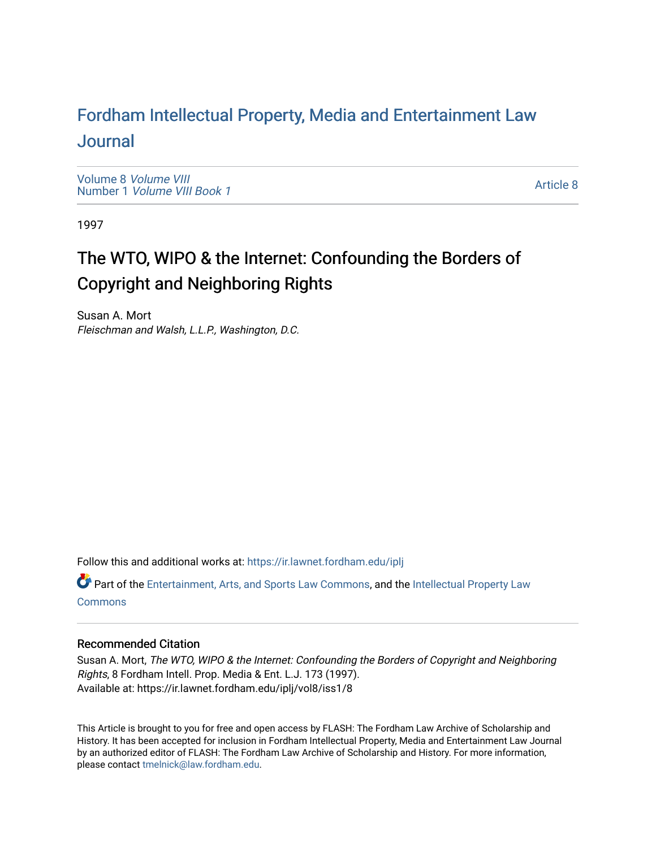# For[dham Intellectual Property, Media and Enter](https://ir.lawnet.fordham.edu/iplj)tainment Law [Journal](https://ir.lawnet.fordham.edu/iplj)

[Volume 8](https://ir.lawnet.fordham.edu/iplj/vol8) Volume VIII Number 1 [Volume VIII Book 1](https://ir.lawnet.fordham.edu/iplj/vol8/iss1)

[Article 8](https://ir.lawnet.fordham.edu/iplj/vol8/iss1/8) 

1997

# The WTO, WIPO & the Internet: Confounding the Borders of Copyright and Neighboring Rights

Susan A. Mort Fleischman and Walsh, L.L.P., Washington, D.C.

Follow this and additional works at: [https://ir.lawnet.fordham.edu/iplj](https://ir.lawnet.fordham.edu/iplj?utm_source=ir.lawnet.fordham.edu%2Fiplj%2Fvol8%2Fiss1%2F8&utm_medium=PDF&utm_campaign=PDFCoverPages) 

Part of the [Entertainment, Arts, and Sports Law Commons](http://network.bepress.com/hgg/discipline/893?utm_source=ir.lawnet.fordham.edu%2Fiplj%2Fvol8%2Fiss1%2F8&utm_medium=PDF&utm_campaign=PDFCoverPages), and the [Intellectual Property Law](http://network.bepress.com/hgg/discipline/896?utm_source=ir.lawnet.fordham.edu%2Fiplj%2Fvol8%2Fiss1%2F8&utm_medium=PDF&utm_campaign=PDFCoverPages) **[Commons](http://network.bepress.com/hgg/discipline/896?utm_source=ir.lawnet.fordham.edu%2Fiplj%2Fvol8%2Fiss1%2F8&utm_medium=PDF&utm_campaign=PDFCoverPages)** 

# Recommended Citation

Susan A. Mort, The WTO, WIPO & the Internet: Confounding the Borders of Copyright and Neighboring Rights, 8 Fordham Intell. Prop. Media & Ent. L.J. 173 (1997). Available at: https://ir.lawnet.fordham.edu/iplj/vol8/iss1/8

This Article is brought to you for free and open access by FLASH: The Fordham Law Archive of Scholarship and History. It has been accepted for inclusion in Fordham Intellectual Property, Media and Entertainment Law Journal by an authorized editor of FLASH: The Fordham Law Archive of Scholarship and History. For more information, please contact [tmelnick@law.fordham.edu](mailto:tmelnick@law.fordham.edu).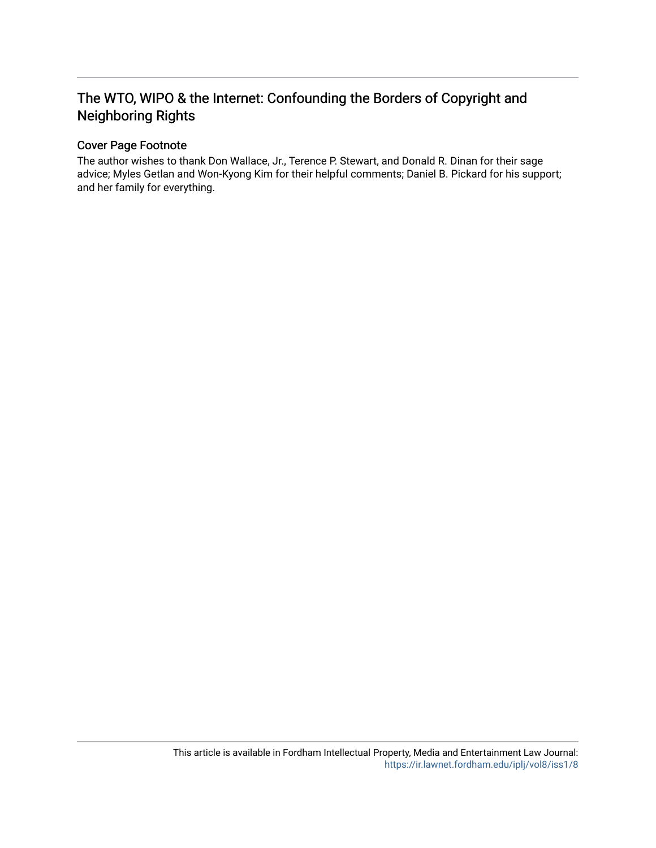# The WTO, WIPO & the Internet: Confounding the Borders of Copyright and Neighboring Rights

# Cover Page Footnote

The author wishes to thank Don Wallace, Jr., Terence P. Stewart, and Donald R. Dinan for their sage advice; Myles Getlan and Won-Kyong Kim for their helpful comments; Daniel B. Pickard for his support; and her family for everything.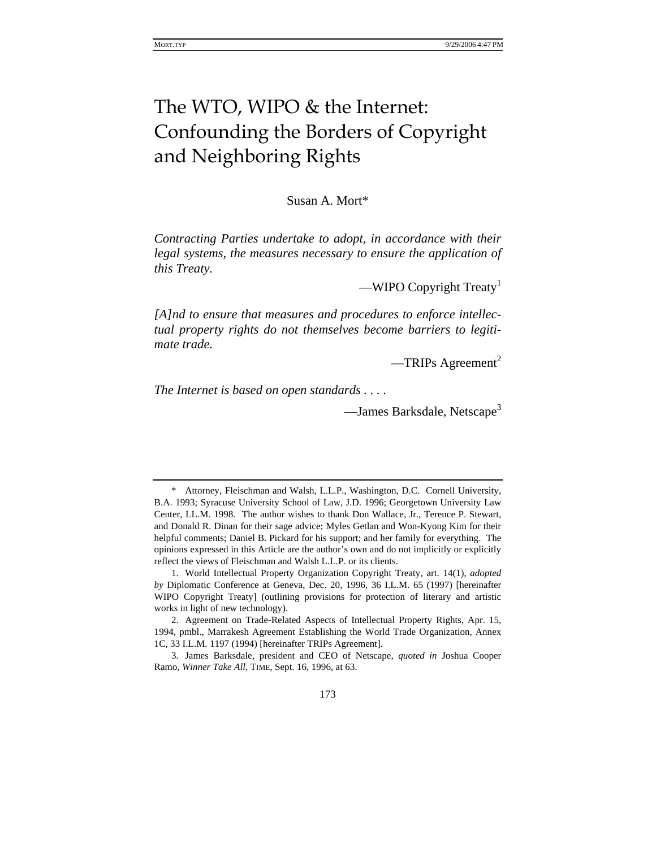# The WTO, WIPO & the Internet: Confounding the Borders of Copyright and Neighboring Rights

Susan A. Mort\*

*Contracting Parties undertake to adopt, in accordance with their legal systems, the measures necessary to ensure the application of this Treaty.* 

—WIPO Copyright Treaty<sup>1</sup>

*[A]nd to ensure that measures and procedures to enforce intellectual property rights do not themselves become barriers to legitimate trade.* 

 $-TRIPs$  Agreement<sup>2</sup>

*The Internet is based on open standards . . . .*

—James Barksdale, Netscape<sup>3</sup>

<sup>\*</sup> Attorney, Fleischman and Walsh, L.L.P., Washington, D.C. Cornell University, B.A. 1993; Syracuse University School of Law, J.D. 1996; Georgetown University Law Center, LL.M. 1998. The author wishes to thank Don Wallace, Jr., Terence P. Stewart, and Donald R. Dinan for their sage advice; Myles Getlan and Won-Kyong Kim for their helpful comments; Daniel B. Pickard for his support; and her family for everything. The opinions expressed in this Article are the author's own and do not implicitly or explicitly reflect the views of Fleischman and Walsh L.L.P. or its clients.

<sup>1.</sup> World Intellectual Property Organization Copyright Treaty, art. 14(1), *adopted by* Diplomatic Conference at Geneva, Dec. 20, 1996, 36 I.L.M. 65 (1997) [hereinafter WIPO Copyright Treaty] (outlining provisions for protection of literary and artistic works in light of new technology).

<sup>2.</sup> Agreement on Trade-Related Aspects of Intellectual Property Rights, Apr. 15, 1994, pmbl., Marrakesh Agreement Establishing the World Trade Organization, Annex 1C, 33 I.L.M. 1197 (1994) [hereinafter TRIPs Agreement].

<sup>3.</sup> James Barksdale, president and CEO of Netscape, *quoted in* Joshua Cooper Ramo, *Winner Take All*, TIME, Sept. 16, 1996, at 63.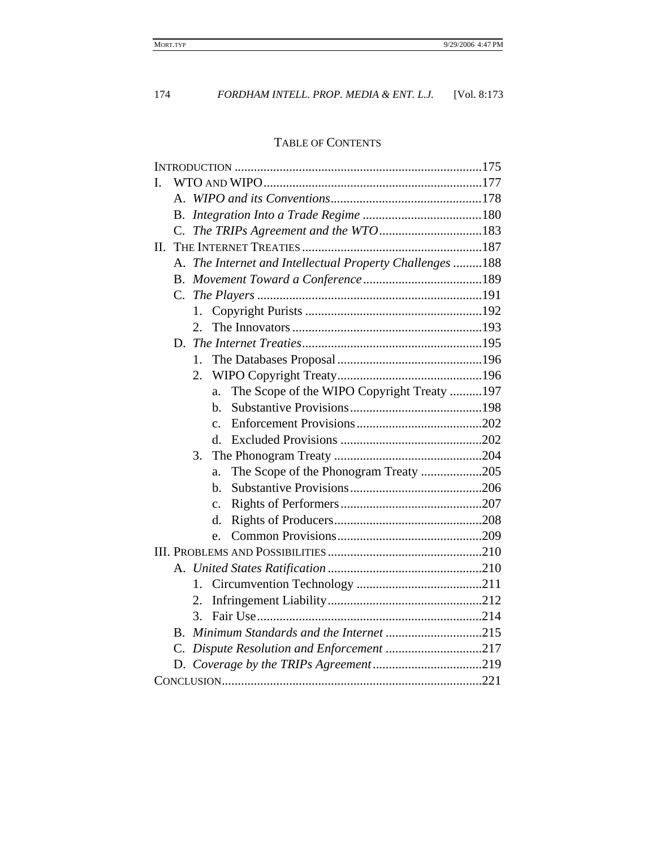# TABLE OF CONTENTS

| I.                                                       |
|----------------------------------------------------------|
|                                                          |
| В.                                                       |
| C.                                                       |
| П.                                                       |
| A. The Internet and Intellectual Property Challenges 188 |
|                                                          |
| $C_{\cdot}$                                              |
| 1.                                                       |
| 2.                                                       |
|                                                          |
| 1.                                                       |
| 2.                                                       |
| The Scope of the WIPO Copyright Treaty 197<br>a.         |
| b.                                                       |
| $\mathbf{C}$ .                                           |
| d.                                                       |
| 3.                                                       |
| The Scope of the Phonogram Treaty 205<br>a.              |
| b.                                                       |
| $\mathbf{c}$ .                                           |
| d.                                                       |
| e.                                                       |
|                                                          |
|                                                          |
| 1.                                                       |
| 2.                                                       |
| 3.                                                       |
| В.                                                       |
| Dispute Resolution and Enforcement 217<br>C.             |
|                                                          |
|                                                          |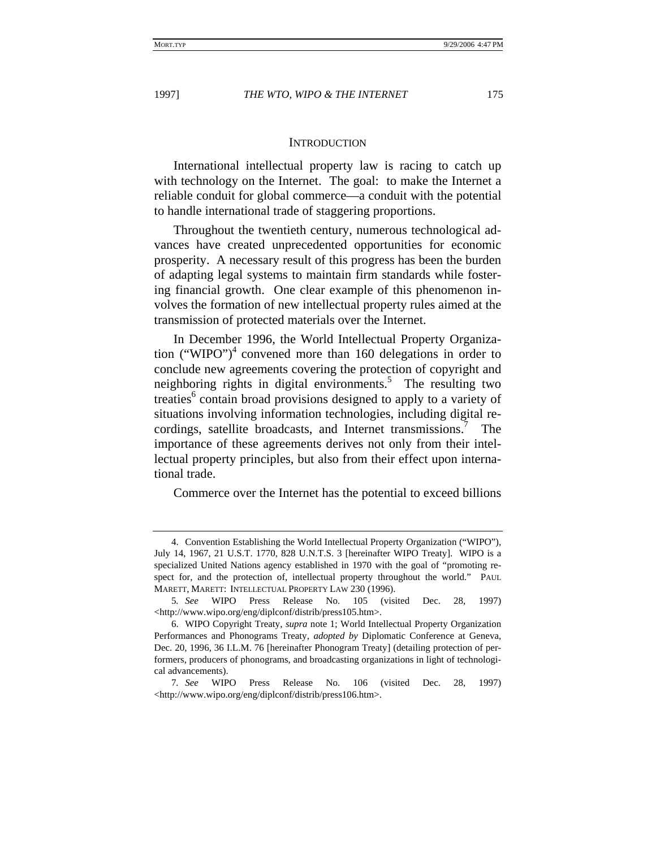#### **INTRODUCTION**

International intellectual property law is racing to catch up with technology on the Internet. The goal: to make the Internet a reliable conduit for global commerce—a conduit with the potential to handle international trade of staggering proportions.

Throughout the twentieth century, numerous technological advances have created unprecedented opportunities for economic prosperity. A necessary result of this progress has been the burden of adapting legal systems to maintain firm standards while fostering financial growth. One clear example of this phenomenon involves the formation of new intellectual property rules aimed at the transmission of protected materials over the Internet.

In December 1996, the World Intellectual Property Organization ("WIPO")<sup>4</sup> convened more than 160 delegations in order to conclude new agreements covering the protection of copyright and neighboring rights in digital environments.<sup>5</sup> The resulting two treaties<sup>6</sup> contain broad provisions designed to apply to a variety of situations involving information technologies, including digital recordings, satellite broadcasts, and Internet transmissions. The importance of these agreements derives not only from their intellectual property principles, but also from their effect upon international trade.

Commerce over the Internet has the potential to exceed billions

<sup>4.</sup> Convention Establishing the World Intellectual Property Organization ("WIPO"), July 14, 1967, 21 U.S.T. 1770, 828 U.N.T.S. 3 [hereinafter WIPO Treaty]. WIPO is a specialized United Nations agency established in 1970 with the goal of "promoting respect for, and the protection of, intellectual property throughout the world." PAUL MARETT, MARETT: INTELLECTUAL PROPERTY LAW 230 (1996).

<sup>5</sup>*. See* WIPO Press Release No. 105 (visited Dec. 28, 1997) <http://www.wipo.org/eng/diplconf/distrib/press105.htm>.

<sup>6.</sup> WIPO Copyright Treaty, *supra* note 1; World Intellectual Property Organization Performances and Phonograms Treaty, *adopted by* Diplomatic Conference at Geneva, Dec. 20, 1996, 36 I.L.M. 76 [hereinafter Phonogram Treaty] (detailing protection of performers, producers of phonograms, and broadcasting organizations in light of technological advancements).

<sup>7</sup>*. See* WIPO Press Release No. 106 (visited Dec. 28, 1997) <http://www.wipo.org/eng/diplconf/distrib/press106.htm>.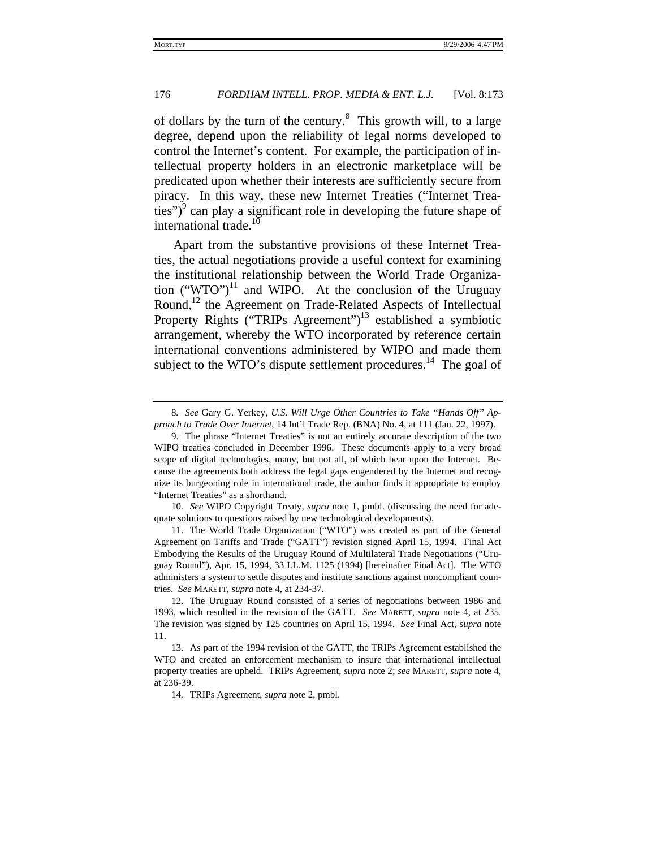of dollars by the turn of the century.<sup>8</sup> This growth will, to a large degree, depend upon the reliability of legal norms developed to control the Internet's content. For example, the participation of intellectual property holders in an electronic marketplace will be predicated upon whether their interests are sufficiently secure from piracy. In this way, these new Internet Treaties ("Internet Trea- $(\text{ties''})^9$  can play a significant role in developing the future shape of international trade.<sup>10</sup>

Apart from the substantive provisions of these Internet Treaties, the actual negotiations provide a useful context for examining the institutional relationship between the World Trade Organization ("WTO")<sup>11</sup> and WIPO. At the conclusion of the Uruguay Round,<sup>12</sup> the Agreement on Trade-Related Aspects of Intellectual Property Rights ("TRIPs Agreement")<sup>13</sup> established a symbiotic arrangement, whereby the WTO incorporated by reference certain international conventions administered by WIPO and made them subject to the WTO's dispute settlement procedures.<sup>14</sup> The goal of

10*. See* WIPO Copyright Treaty, *supra* note 1, pmbl. (discussing the need for adequate solutions to questions raised by new technological developments).

11. The World Trade Organization ("WTO") was created as part of the General Agreement on Tariffs and Trade ("GATT") revision signed April 15, 1994. Final Act Embodying the Results of the Uruguay Round of Multilateral Trade Negotiations ("Uruguay Round"), Apr. 15, 1994, 33 I.L.M. 1125 (1994) [hereinafter Final Act]. The WTO administers a system to settle disputes and institute sanctions against noncompliant countries. *See* MARETT, *supra* note 4, at 234-37.

14*.* TRIPs Agreement, *supra* note 2, pmbl.

<sup>8</sup>*. See* Gary G. Yerkey, *U.S. Will Urge Other Countries to Take "Hands Off" Approach to Trade Over Internet*, 14 Int'l Trade Rep. (BNA) No. 4, at 111 (Jan. 22, 1997).

<sup>9.</sup> The phrase "Internet Treaties" is not an entirely accurate description of the two WIPO treaties concluded in December 1996. These documents apply to a very broad scope of digital technologies, many, but not all, of which bear upon the Internet. Because the agreements both address the legal gaps engendered by the Internet and recognize its burgeoning role in international trade, the author finds it appropriate to employ "Internet Treaties" as a shorthand.

<sup>12.</sup> The Uruguay Round consisted of a series of negotiations between 1986 and 1993, which resulted in the revision of the GATT. *See* MARETT, *supra* note 4, at 235. The revision was signed by 125 countries on April 15, 1994. *See* Final Act, *supra* note 11.

<sup>13.</sup> As part of the 1994 revision of the GATT, the TRIPs Agreement established the WTO and created an enforcement mechanism to insure that international intellectual property treaties are upheld. TRIPs Agreement, *supra* note 2; *see* MARETT, *supra* note 4, at 236-39.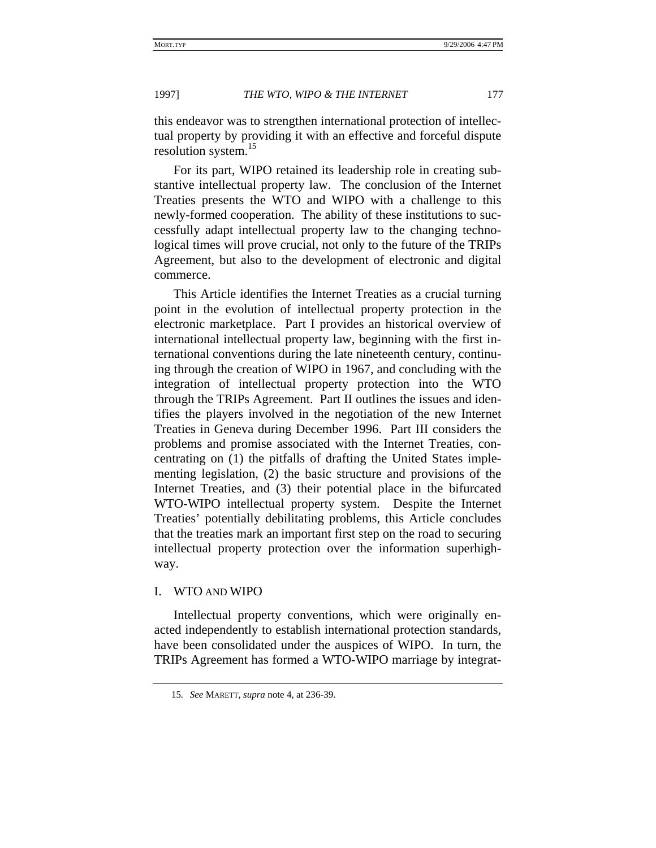this endeavor was to strengthen international protection of intellectual property by providing it with an effective and forceful dispute resolution system.<sup>15</sup>

For its part, WIPO retained its leadership role in creating substantive intellectual property law. The conclusion of the Internet Treaties presents the WTO and WIPO with a challenge to this newly-formed cooperation. The ability of these institutions to successfully adapt intellectual property law to the changing technological times will prove crucial, not only to the future of the TRIPs Agreement, but also to the development of electronic and digital commerce.

This Article identifies the Internet Treaties as a crucial turning point in the evolution of intellectual property protection in the electronic marketplace. Part I provides an historical overview of international intellectual property law, beginning with the first international conventions during the late nineteenth century, continuing through the creation of WIPO in 1967, and concluding with the integration of intellectual property protection into the WTO through the TRIPs Agreement. Part II outlines the issues and identifies the players involved in the negotiation of the new Internet Treaties in Geneva during December 1996. Part III considers the problems and promise associated with the Internet Treaties, concentrating on (1) the pitfalls of drafting the United States implementing legislation, (2) the basic structure and provisions of the Internet Treaties, and (3) their potential place in the bifurcated WTO-WIPO intellectual property system. Despite the Internet Treaties' potentially debilitating problems, this Article concludes that the treaties mark an important first step on the road to securing intellectual property protection over the information superhighway.

# I. WTO AND WIPO

Intellectual property conventions, which were originally enacted independently to establish international protection standards, have been consolidated under the auspices of WIPO. In turn, the TRIPs Agreement has formed a WTO-WIPO marriage by integrat-

<sup>15</sup>*. See* MARETT, *supra* note 4, at 236-39.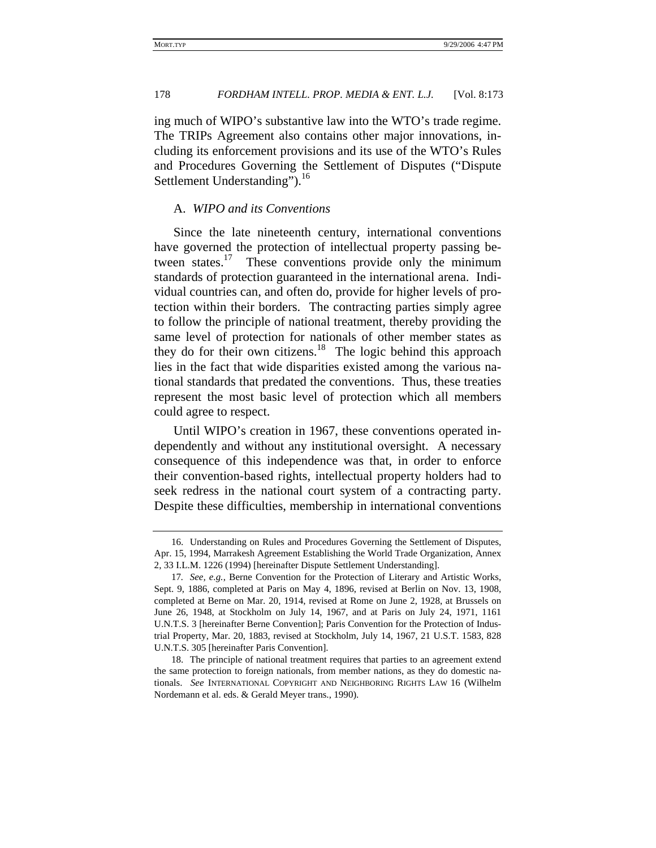ing much of WIPO's substantive law into the WTO's trade regime. The TRIPs Agreement also contains other major innovations, including its enforcement provisions and its use of the WTO's Rules and Procedures Governing the Settlement of Disputes ("Dispute Settlement Understanding").<sup>16</sup>

### A. *WIPO and its Conventions*

Since the late nineteenth century, international conventions have governed the protection of intellectual property passing between states.<sup>17</sup> These conventions provide only the minimum standards of protection guaranteed in the international arena. Individual countries can, and often do, provide for higher levels of protection within their borders. The contracting parties simply agree to follow the principle of national treatment, thereby providing the same level of protection for nationals of other member states as they do for their own citizens.<sup>18</sup> The logic behind this approach lies in the fact that wide disparities existed among the various national standards that predated the conventions. Thus, these treaties represent the most basic level of protection which all members could agree to respect.

Until WIPO's creation in 1967, these conventions operated independently and without any institutional oversight. A necessary consequence of this independence was that, in order to enforce their convention-based rights, intellectual property holders had to seek redress in the national court system of a contracting party. Despite these difficulties, membership in international conventions

<sup>16.</sup> Understanding on Rules and Procedures Governing the Settlement of Disputes, Apr. 15, 1994, Marrakesh Agreement Establishing the World Trade Organization, Annex 2, 33 I.L.M. 1226 (1994) [hereinafter Dispute Settlement Understanding].

<sup>17</sup>*. See, e.g.*, Berne Convention for the Protection of Literary and Artistic Works, Sept. 9, 1886, completed at Paris on May 4, 1896, revised at Berlin on Nov. 13, 1908, completed at Berne on Mar. 20, 1914, revised at Rome on June 2, 1928, at Brussels on June 26, 1948, at Stockholm on July 14, 1967, and at Paris on July 24, 1971, 1161 U.N.T.S. 3 [hereinafter Berne Convention]; Paris Convention for the Protection of Industrial Property, Mar. 20, 1883, revised at Stockholm, July 14, 1967, 21 U.S.T. 1583, 828 U.N.T.S. 305 [hereinafter Paris Convention].

<sup>18.</sup> The principle of national treatment requires that parties to an agreement extend the same protection to foreign nationals, from member nations, as they do domestic nationals. *See* INTERNATIONAL COPYRIGHT AND NEIGHBORING RIGHTS LAW 16 (Wilhelm Nordemann et al. eds. & Gerald Meyer trans., 1990).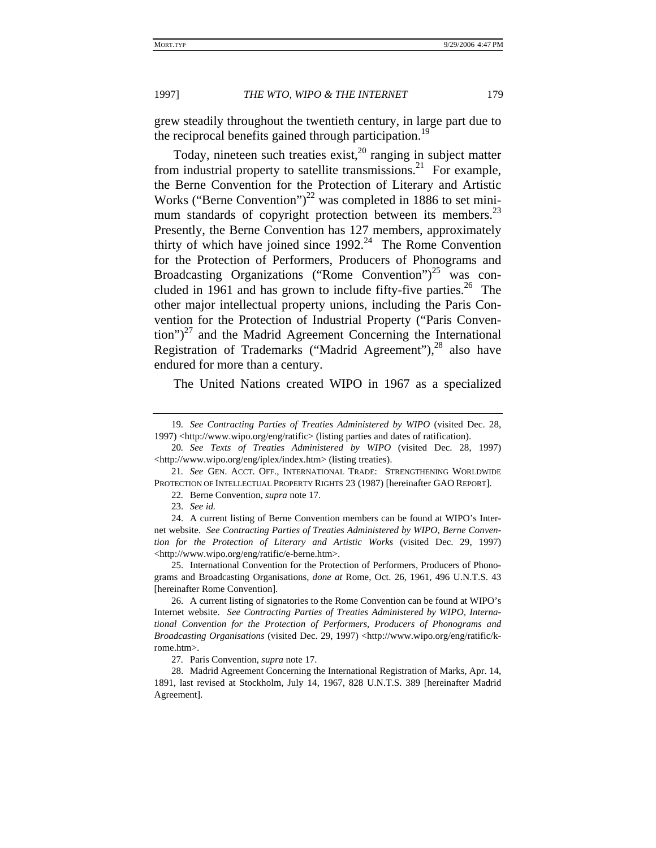grew steadily throughout the twentieth century, in large part due to the reciprocal benefits gained through participation.<sup>19</sup>

Today, nineteen such treaties exist,  $20$  ranging in subject matter from industrial property to satellite transmissions.<sup>21</sup> For example, the Berne Convention for the Protection of Literary and Artistic Works ("Berne Convention")<sup>22</sup> was completed in 1886 to set minimum standards of copyright protection between its members.<sup>23</sup> Presently, the Berne Convention has 127 members, approximately thirty of which have joined since  $1992<sup>24</sup>$  The Rome Convention for the Protection of Performers, Producers of Phonograms and Broadcasting Organizations ("Rome Convention")<sup>25</sup> was concluded in 1961 and has grown to include fifty-five parties.<sup>26</sup> The other major intellectual property unions, including the Paris Convention for the Protection of Industrial Property ("Paris Conven- $\frac{t}{2}$  and the Madrid Agreement Concerning the International Registration of Trademarks ("Madrid Agreement"), $^{28}$  also have endured for more than a century.

The United Nations created WIPO in 1967 as a specialized

21*. See* GEN. ACCT. OFF., INTERNATIONAL TRADE: STRENGTHENING WORLDWIDE PROTECTION OF INTELLECTUAL PROPERTY RIGHTS 23 (1987) [hereinafter GAO REPORT].

22*.* Berne Convention, *supra* note 17.

23. *See id.*

24. A current listing of Berne Convention members can be found at WIPO's Internet website. *See Contracting Parties of Treaties Administered by WIPO, Berne Convention for the Protection of Literary and Artistic Works* (visited Dec. 29, 1997) <http://www.wipo.org/eng/ratific/e-berne.htm>.

25. International Convention for the Protection of Performers, Producers of Phonograms and Broadcasting Organisations, *done at* Rome, Oct. 26, 1961, 496 U.N.T.S. 43 [hereinafter Rome Convention].

26. A current listing of signatories to the Rome Convention can be found at WIPO's Internet website. *See Contracting Parties of Treaties Administered by WIPO, International Convention for the Protection of Performers, Producers of Phonograms and Broadcasting Organisations* (visited Dec. 29, 1997) <http://www.wipo.org/eng/ratific/krome.htm>.

27*.* Paris Convention, *supra* note 17.

28. Madrid Agreement Concerning the International Registration of Marks, Apr. 14, 1891, last revised at Stockholm, July 14, 1967, 828 U.N.T.S. 389 [hereinafter Madrid Agreement].

<sup>19</sup>*. See Contracting Parties of Treaties Administered by WIPO* (visited Dec. 28, 1997) <http://www.wipo.org/eng/ratific> (listing parties and dates of ratification).

<sup>20</sup>*. See Texts of Treaties Administered by WIPO* (visited Dec. 28, 1997) <http://www.wipo.org/eng/iplex/index.htm> (listing treaties).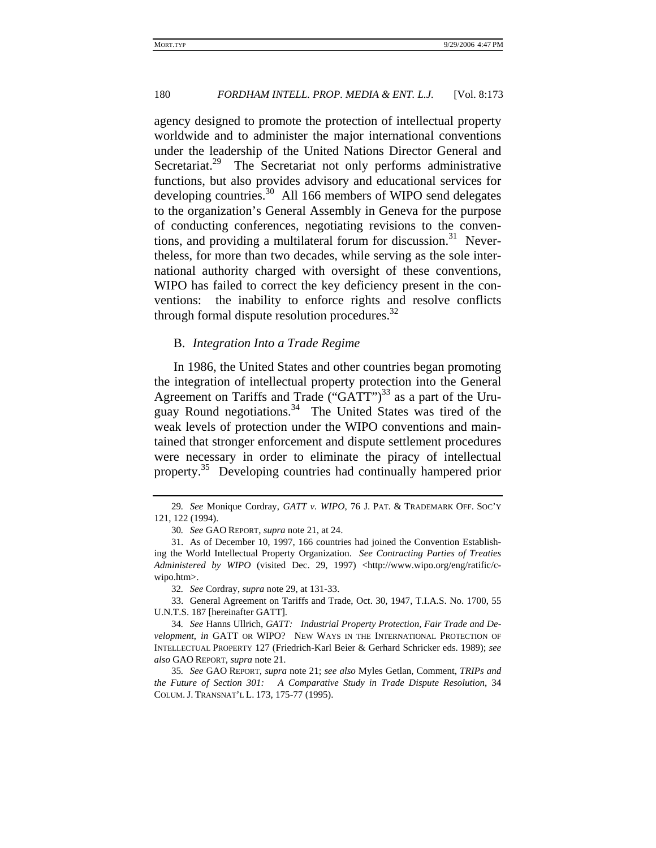agency designed to promote the protection of intellectual property worldwide and to administer the major international conventions under the leadership of the United Nations Director General and Secretariat.<sup>29</sup> The Secretariat not only performs administrative functions, but also provides advisory and educational services for developing countries.<sup>30</sup> All 166 members of WIPO send delegates to the organization's General Assembly in Geneva for the purpose of conducting conferences, negotiating revisions to the conventions, and providing a multilateral forum for discussion.<sup>31</sup> Nevertheless, for more than two decades, while serving as the sole international authority charged with oversight of these conventions, WIPO has failed to correct the key deficiency present in the conventions: the inability to enforce rights and resolve conflicts through formal dispute resolution procedures. $32$ 

#### B. *Integration Into a Trade Regime*

In 1986, the United States and other countries began promoting the integration of intellectual property protection into the General Agreement on Tariffs and Trade ("GATT")<sup>33</sup> as a part of the Uruguay Round negotiations.<sup>34</sup> The United States was tired of the weak levels of protection under the WIPO conventions and maintained that stronger enforcement and dispute settlement procedures were necessary in order to eliminate the piracy of intellectual property.<sup>35</sup> Developing countries had continually hampered prior

32*. See* Cordray, *supra* note 29, at 131-33.

33. General Agreement on Tariffs and Trade, Oct. 30, 1947, T.I.A.S. No. 1700, 55 U.N.T.S. 187 [hereinafter GATT].

34*. See* Hanns Ullrich, *GATT: Industrial Property Protection, Fair Trade and Development*, *in* GATT OR WIPO? NEW WAYS IN THE INTERNATIONAL PROTECTION OF INTELLECTUAL PROPERTY 127 (Friedrich-Karl Beier & Gerhard Schricker eds. 1989); *see also* GAO REPORT, *supra* note 21.

35*. See* GAO REPORT, *supra* note 21; *see also* Myles Getlan, Comment, *TRIPs and the Future of Section 301: A Comparative Study in Trade Dispute Resolution*, 34 COLUM. J. TRANSNAT'L L. 173, 175-77 (1995).

<sup>29</sup>*. See* Monique Cordray, *GATT v. WIPO*, 76 J. PAT. & TRADEMARK OFF. SOC'Y 121, 122 (1994).

<sup>30</sup>*. See* GAO REPORT, *supra* note 21, at 24.

<sup>31.</sup> As of December 10, 1997, 166 countries had joined the Convention Establishing the World Intellectual Property Organization. *See Contracting Parties of Treaties Administered by WIPO* (visited Dec. 29, 1997) <http://www.wipo.org/eng/ratific/cwipo.htm>.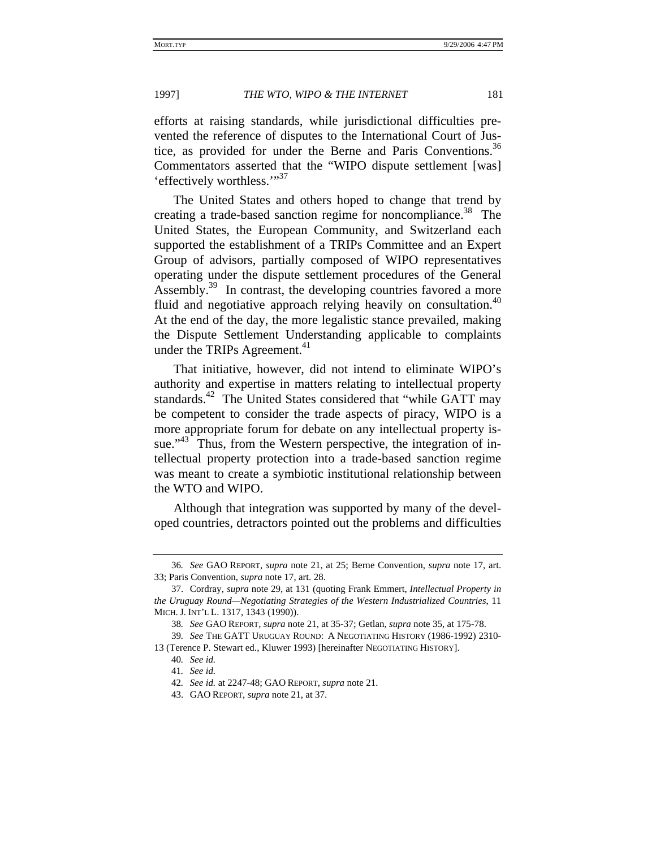efforts at raising standards, while jurisdictional difficulties prevented the reference of disputes to the International Court of Justice, as provided for under the Berne and Paris Conventions.<sup>36</sup> Commentators asserted that the "WIPO dispute settlement [was] 'effectively worthless."<sup>37</sup>

The United States and others hoped to change that trend by creating a trade-based sanction regime for noncompliance.<sup>38</sup> The United States, the European Community, and Switzerland each supported the establishment of a TRIPs Committee and an Expert Group of advisors, partially composed of WIPO representatives operating under the dispute settlement procedures of the General Assembly.<sup>39</sup> In contrast, the developing countries favored a more fluid and negotiative approach relying heavily on consultation.<sup>40</sup> At the end of the day, the more legalistic stance prevailed, making the Dispute Settlement Understanding applicable to complaints under the TRIPs Agreement.<sup>41</sup>

That initiative, however, did not intend to eliminate WIPO's authority and expertise in matters relating to intellectual property standards.<sup>42</sup> The United States considered that "while GATT may be competent to consider the trade aspects of piracy, WIPO is a more appropriate forum for debate on any intellectual property issue."<sup>43</sup> Thus, from the Western perspective, the integration of intellectual property protection into a trade-based sanction regime was meant to create a symbiotic institutional relationship between the WTO and WIPO.

Although that integration was supported by many of the developed countries, detractors pointed out the problems and difficulties

<sup>36</sup>*. See* GAO REPORT, *supra* note 21, at 25; Berne Convention, *supra* note 17, art. 33; Paris Convention, *supra* note 17, art. 28.

<sup>37.</sup> Cordray, *supra* note 29, at 131 (quoting Frank Emmert, *Intellectual Property in the Uruguay Round—Negotiating Strategies of the Western Industrialized Countries*, 11 MICH. J. INT'L L. 1317, 1343 (1990)).

<sup>38</sup>*. See* GAO REPORT, *supra* note 21, at 35-37; Getlan, *supra* note 35, at 175-78.

<sup>39</sup>*. See* THE GATT URUGUAY ROUND: A NEGOTIATING HISTORY (1986-1992) 2310- 13 (Terence P. Stewart ed., Kluwer 1993) [hereinafter NEGOTIATING HISTORY].

<sup>40</sup>*. See id.*

<sup>41</sup>*. See id.*

<sup>42</sup>*. See id.* at 2247-48; GAO REPORT, *supra* note 21.

<sup>43.</sup> GAO REPORT, *supra* note 21, at 37.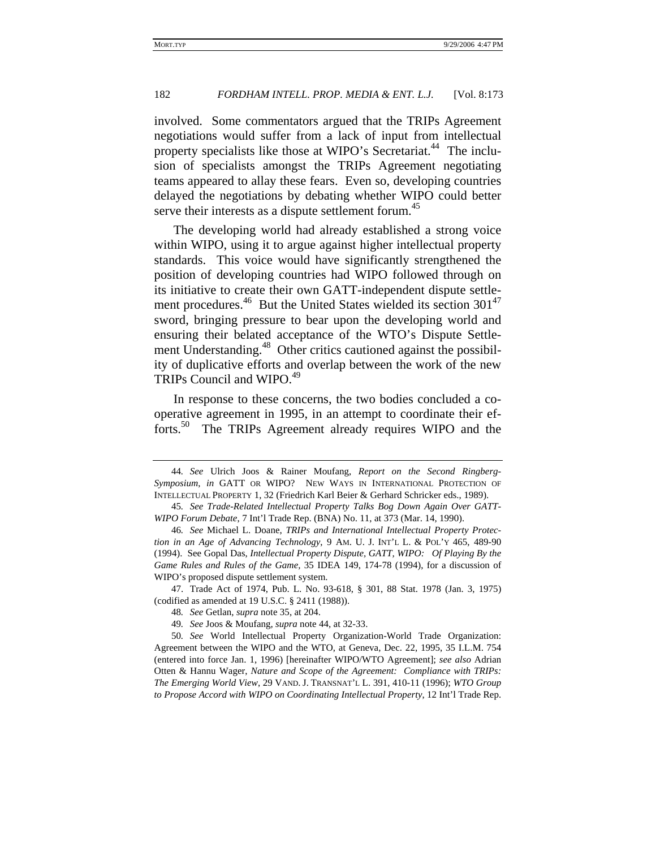involved. Some commentators argued that the TRIPs Agreement negotiations would suffer from a lack of input from intellectual property specialists like those at WIPO's Secretariat.<sup>44</sup> The inclusion of specialists amongst the TRIPs Agreement negotiating teams appeared to allay these fears. Even so, developing countries delayed the negotiations by debating whether WIPO could better serve their interests as a dispute settlement forum.<sup>45</sup>

The developing world had already established a strong voice within WIPO, using it to argue against higher intellectual property standards. This voice would have significantly strengthened the position of developing countries had WIPO followed through on its initiative to create their own GATT-independent dispute settlement procedures.<sup>46</sup> But the United States wielded its section 301<sup>47</sup> sword, bringing pressure to bear upon the developing world and ensuring their belated acceptance of the WTO's Dispute Settlement Understanding.<sup>48</sup> Other critics cautioned against the possibility of duplicative efforts and overlap between the work of the new TRIPs Council and WIPO.<sup>49</sup>

In response to these concerns, the two bodies concluded a cooperative agreement in 1995, in an attempt to coordinate their efforts.50 The TRIPs Agreement already requires WIPO and the

<sup>44</sup>*. See* Ulrich Joos & Rainer Moufang, *Report on the Second Ringberg-Symposium*, *in* GATT OR WIPO? NEW WAYS IN INTERNATIONAL PROTECTION OF INTELLECTUAL PROPERTY 1, 32 (Friedrich Karl Beier & Gerhard Schricker eds., 1989).

<sup>45</sup>*. See Trade-Related Intellectual Property Talks Bog Down Again Over GATT-WIPO Forum Debate*, 7 Int'l Trade Rep. (BNA) No. 11, at 373 (Mar. 14, 1990).

<sup>46</sup>*. See* Michael L. Doane, *TRIPs and International Intellectual Property Protection in an Age of Advancing Technology*, 9 AM. U. J. INT'L L. & POL'Y 465, 489-90 (1994). See Gopal Das, *Intellectual Property Dispute, GATT, WIPO: Of Playing By the Game Rules and Rules of the Game,* 35 IDEA 149, 174-78 (1994), for a discussion of WIPO's proposed dispute settlement system.

<sup>47.</sup> Trade Act of 1974, Pub. L. No. 93-618, § 301, 88 Stat. 1978 (Jan. 3, 1975) (codified as amended at 19 U.S.C. § 2411 (1988)).

<sup>48</sup>*. See* Getlan, *supra* note 35, at 204.

<sup>49</sup>*. See* Joos & Moufang, *supra* note 44, at 32-33.

<sup>50</sup>*. See* World Intellectual Property Organization-World Trade Organization: Agreement between the WIPO and the WTO, at Geneva, Dec. 22, 1995, 35 I.L.M. 754 (entered into force Jan. 1, 1996) [hereinafter WIPO/WTO Agreement]; *see also* Adrian Otten & Hannu Wager, *Nature and Scope of the Agreement: Compliance with TRIPs: The Emerging World View*, 29 VAND. J. TRANSNAT'L L. 391, 410-11 (1996); *WTO Group to Propose Accord with WIPO on Coordinating Intellectual Property*, 12 Int'l Trade Rep.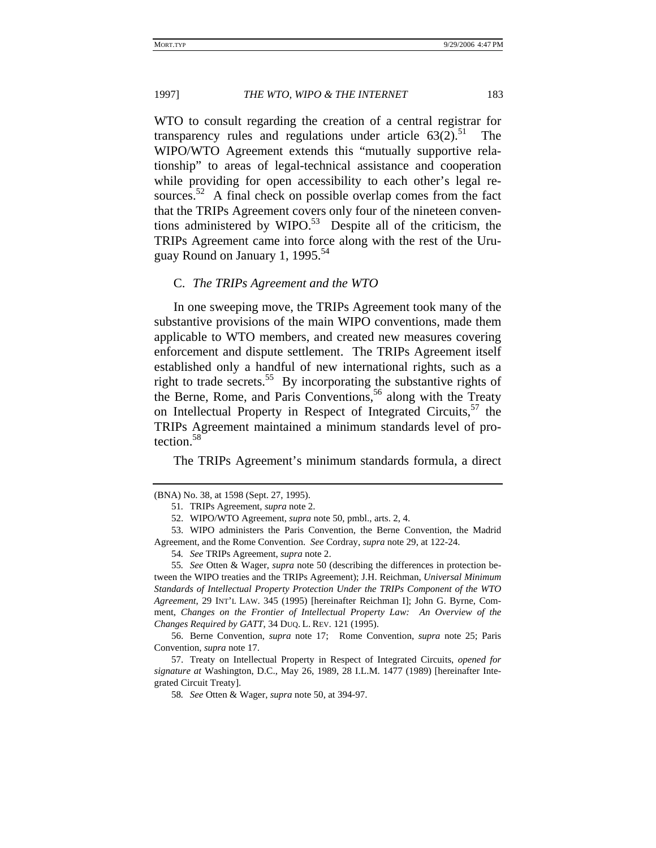WTO to consult regarding the creation of a central registrar for transparency rules and regulations under article  $63(2)$ .<sup>51</sup> The WIPO/WTO Agreement extends this "mutually supportive relationship" to areas of legal-technical assistance and cooperation while providing for open accessibility to each other's legal resources. $52$  A final check on possible overlap comes from the fact that the TRIPs Agreement covers only four of the nineteen conventions administered by  $W \nIPO<sup>53</sup>$  Despite all of the criticism, the TRIPs Agreement came into force along with the rest of the Uruguay Round on January 1, 1995. $54$ 

#### C. *The TRIPs Agreement and the WTO*

In one sweeping move, the TRIPs Agreement took many of the substantive provisions of the main WIPO conventions, made them applicable to WTO members, and created new measures covering enforcement and dispute settlement. The TRIPs Agreement itself established only a handful of new international rights, such as a right to trade secrets.<sup>55</sup> By incorporating the substantive rights of the Berne, Rome, and Paris Conventions,<sup>56</sup> along with the Treaty on Intellectual Property in Respect of Integrated Circuits,  $57$  the TRIPs Agreement maintained a minimum standards level of protection.<sup>58</sup>

The TRIPs Agreement's minimum standards formula, a direct

56. Berne Convention, *supra* note 17; Rome Convention, *supra* note 25; Paris Convention, *supra* note 17.

58*. See* Otten & Wager, *supra* note 50, at 394-97.

<sup>(</sup>BNA) No. 38, at 1598 (Sept. 27, 1995).

<sup>51</sup>*.* TRIPs Agreement, *supra* note 2.

<sup>52.</sup> WIPO/WTO Agreement, *supra* note 50, pmbl., arts. 2, 4.

<sup>53.</sup> WIPO administers the Paris Convention, the Berne Convention, the Madrid Agreement, and the Rome Convention. *See* Cordray, *supra* note 29, at 122-24.

<sup>54</sup>*. See* TRIPs Agreement, *supra* note 2.

<sup>55</sup>*. See* Otten & Wager, *supra* note 50 (describing the differences in protection between the WIPO treaties and the TRIPs Agreement); J.H. Reichman, *Universal Minimum Standards of Intellectual Property Protection Under the TRIPs Component of the WTO Agreement*, 29 INT'L LAW. 345 (1995) [hereinafter Reichman I]; John G. Byrne, Comment, *Changes on the Frontier of Intellectual Property Law: An Overview of the Changes Required by GATT*, 34 DUQ. L. REV. 121 (1995).

<sup>57.</sup> Treaty on Intellectual Property in Respect of Integrated Circuits, *opened for signature at* Washington, D.C., May 26, 1989, 28 I.L.M. 1477 (1989) [hereinafter Integrated Circuit Treaty].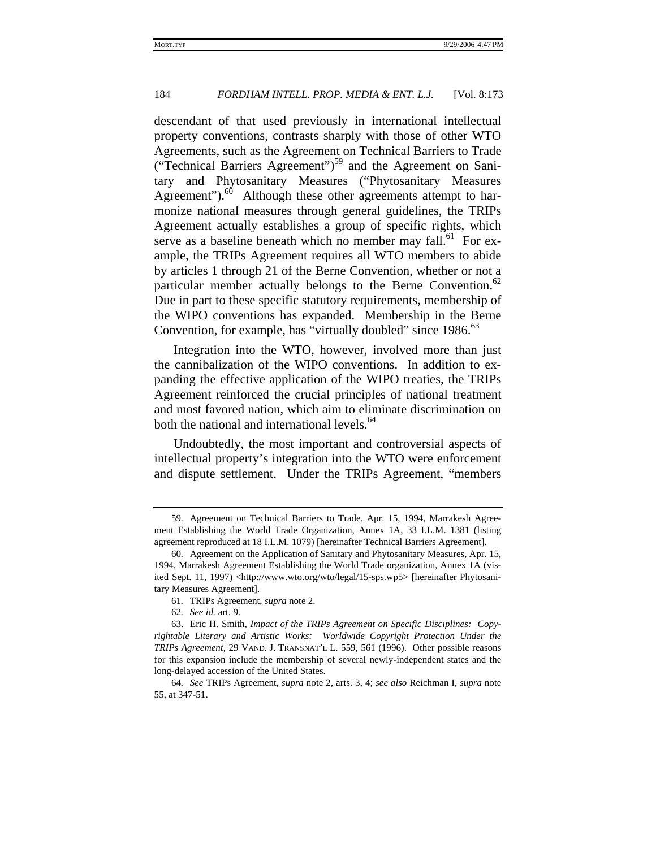descendant of that used previously in international intellectual property conventions, contrasts sharply with those of other WTO Agreements, such as the Agreement on Technical Barriers to Trade ("Technical Barriers Agreement")<sup>59</sup> and the Agreement on Sanitary and Phytosanitary Measures ("Phytosanitary Measures Agreement"). $^{60}$  Although these other agreements attempt to harmonize national measures through general guidelines, the TRIPs Agreement actually establishes a group of specific rights, which serve as a baseline beneath which no member may fall.<sup>61</sup> For example, the TRIPs Agreement requires all WTO members to abide by articles 1 through 21 of the Berne Convention, whether or not a particular member actually belongs to the Berne Convention.<sup>62</sup> Due in part to these specific statutory requirements, membership of the WIPO conventions has expanded. Membership in the Berne Convention, for example, has "virtually doubled" since 1986.<sup>63</sup>

Integration into the WTO, however, involved more than just the cannibalization of the WIPO conventions. In addition to expanding the effective application of the WIPO treaties, the TRIPs Agreement reinforced the crucial principles of national treatment and most favored nation, which aim to eliminate discrimination on both the national and international levels.<sup>64</sup>

Undoubtedly, the most important and controversial aspects of intellectual property's integration into the WTO were enforcement and dispute settlement. Under the TRIPs Agreement, "members

<sup>59</sup>*.* Agreement on Technical Barriers to Trade, Apr. 15, 1994, Marrakesh Agreement Establishing the World Trade Organization, Annex 1A, 33 I.L.M. 1381 (listing agreement reproduced at 18 I.L.M. 1079) [hereinafter Technical Barriers Agreement].

<sup>60</sup>*.* Agreement on the Application of Sanitary and Phytosanitary Measures, Apr. 15, 1994, Marrakesh Agreement Establishing the World Trade organization, Annex 1A (visited Sept. 11, 1997) <http://www.wto.org/wto/legal/15-sps.wp5> [hereinafter Phytosanitary Measures Agreement].

<sup>61</sup>*.* TRIPs Agreement, *supra* note 2.

<sup>62</sup>*. See id.* art. 9.

<sup>63.</sup> Eric H. Smith, *Impact of the TRIPs Agreement on Specific Disciplines: Copyrightable Literary and Artistic Works: Worldwide Copyright Protection Under the TRIPs Agreement*, 29 VAND. J. TRANSNAT'L L. 559, 561 (1996). Other possible reasons for this expansion include the membership of several newly-independent states and the long-delayed accession of the United States.

<sup>64</sup>*. See* TRIPs Agreement, *supra* note 2, arts. 3, 4; *see also* Reichman I, *supra* note 55, at 347-51.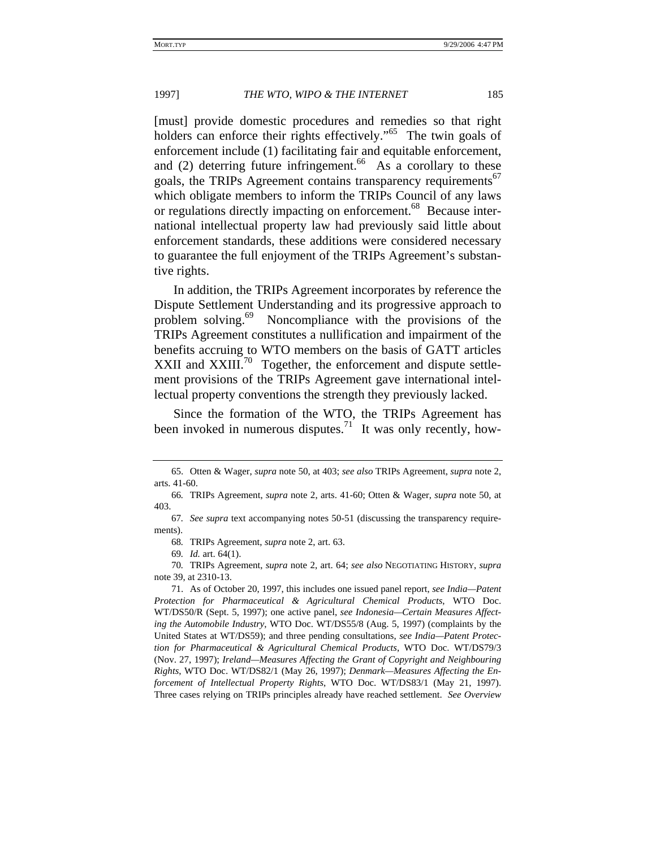[must] provide domestic procedures and remedies so that right holders can enforce their rights effectively."<sup>65</sup> The twin goals of enforcement include (1) facilitating fair and equitable enforcement, and (2) deterring future infringement.<sup>66</sup> As a corollary to these goals, the TRIPs Agreement contains transparency requirements<sup>67</sup> which obligate members to inform the TRIPs Council of any laws or regulations directly impacting on enforcement.<sup>68</sup> Because international intellectual property law had previously said little about enforcement standards, these additions were considered necessary to guarantee the full enjoyment of the TRIPs Agreement's substantive rights.

In addition, the TRIPs Agreement incorporates by reference the Dispute Settlement Understanding and its progressive approach to problem solving.<sup>69</sup> Noncompliance with the provisions of the TRIPs Agreement constitutes a nullification and impairment of the benefits accruing to WTO members on the basis of GATT articles XXII and XXIII.<sup>70</sup> Together, the enforcement and dispute settlement provisions of the TRIPs Agreement gave international intellectual property conventions the strength they previously lacked.

Since the formation of the WTO, the TRIPs Agreement has been invoked in numerous disputes.<sup>71</sup> It was only recently, how-

<sup>65.</sup> Otten & Wager, *supra* note 50, at 403; *see also* TRIPs Agreement, *supra* note 2, arts. 41-60.

<sup>66</sup>*.* TRIPs Agreement, *supra* note 2, arts. 41-60; Otten & Wager, *supra* note 50, at 403.

<sup>67</sup>*. See supra* text accompanying notes 50-51 (discussing the transparency requirements).

<sup>68</sup>*.* TRIPs Agreement, *supra* note 2, art. 63.

<sup>69</sup>*. Id.* art. 64(1).

<sup>70</sup>*.* TRIPs Agreement, *supra* note 2, art. 64; *see also* NEGOTIATING HISTORY, *supra* note 39, at 2310-13.

<sup>71.</sup> As of October 20, 1997, this includes one issued panel report, *see India—Patent Protection for Pharmaceutical & Agricultural Chemical Products*, WTO Doc. WT/DS50/R (Sept. 5, 1997); one active panel, *see Indonesia—Certain Measures Affecting the Automobile Industry*, WTO Doc. WT/DS55/8 (Aug. 5, 1997) (complaints by the United States at WT/DS59); and three pending consultations, *see India—Patent Protection for Pharmaceutical & Agricultural Chemical Products*, WTO Doc. WT/DS79/3 (Nov. 27, 1997); *Ireland—Measures Affecting the Grant of Copyright and Neighbouring Rights*, WTO Doc. WT/DS82/1 (May 26, 1997); *Denmark—Measures Affecting the Enforcement of Intellectual Property Rights*, WTO Doc. WT/DS83/1 (May 21, 1997). Three cases relying on TRIPs principles already have reached settlement. *See Overview*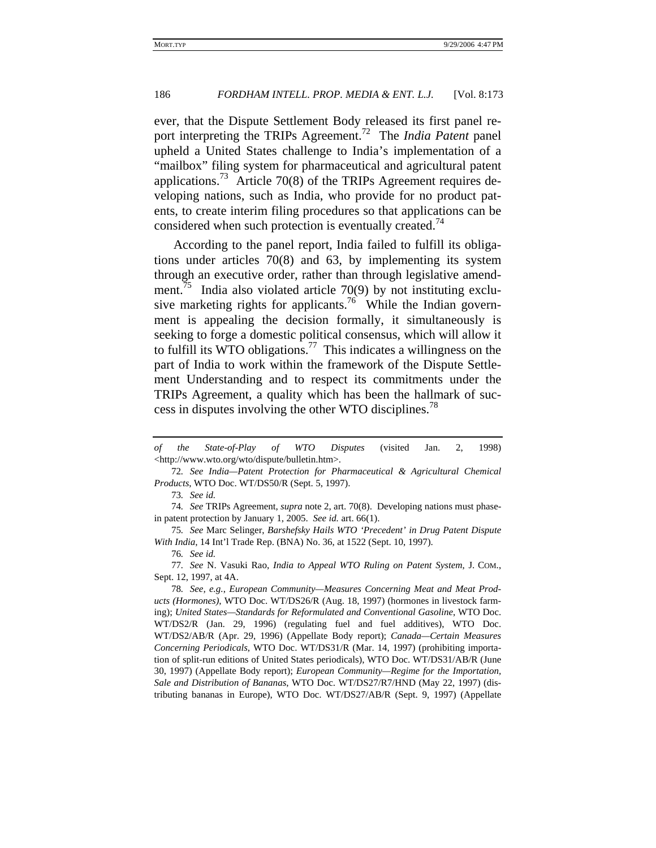ever, that the Dispute Settlement Body released its first panel report interpreting the TRIPs Agreement.72 The *India Patent* panel upheld a United States challenge to India's implementation of a "mailbox" filing system for pharmaceutical and agricultural patent applications.<sup>73</sup> Article 70(8) of the TRIPs Agreement requires developing nations, such as India, who provide for no product patents, to create interim filing procedures so that applications can be considered when such protection is eventually created.<sup>74</sup>

According to the panel report, India failed to fulfill its obligations under articles 70(8) and 63, by implementing its system through an executive order, rather than through legislative amendment.<sup>75</sup> India also violated article 70(9) by not instituting exclusive marketing rights for applicants.<sup>76</sup> While the Indian government is appealing the decision formally, it simultaneously is seeking to forge a domestic political consensus, which will allow it to fulfill its WTO obligations.<sup>77</sup> This indicates a willingness on the part of India to work within the framework of the Dispute Settlement Understanding and to respect its commitments under the TRIPs Agreement, a quality which has been the hallmark of success in disputes involving the other WTO disciplines.<sup>78</sup>

76*. See id.*

*of the State-of-Play of WTO Disputes* (visited Jan. 2, 1998) <http://www.wto.org/wto/dispute/bulletin.htm>.

<sup>72</sup>*. See India—Patent Protection for Pharmaceutical & Agricultural Chemical Products*, WTO Doc. WT/DS50/R (Sept. 5, 1997).

<sup>73</sup>*. See id.*

<sup>74</sup>*. See* TRIPs Agreement, *supra* note 2, art. 70(8). Developing nations must phasein patent protection by January 1, 2005. *See id.* art. 66(1).

<sup>75</sup>*. See* Marc Selinger, *Barshefsky Hails WTO 'Precedent' in Drug Patent Dispute With India*, 14 Int'l Trade Rep. (BNA) No. 36, at 1522 (Sept. 10, 1997).

<sup>77</sup>*. See* N. Vasuki Rao, *India to Appeal WTO Ruling on Patent System*, J. COM., Sept. 12, 1997, at 4A.

<sup>78</sup>*. See, e.g.*, *European Community—Measures Concerning Meat and Meat Products (Hormones)*, WTO Doc. WT/DS26/R (Aug. 18, 1997) (hormones in livestock farming); *United States—Standards for Reformulated and Conventional Gasoline*, WTO Doc. WT/DS2/R (Jan. 29, 1996) (regulating fuel and fuel additives), WTO Doc. WT/DS2/AB/R (Apr. 29, 1996) (Appellate Body report); *Canada—Certain Measures Concerning Periodicals*, WTO Doc. WT/DS31/R (Mar. 14, 1997) (prohibiting importation of split-run editions of United States periodicals), WTO Doc. WT/DS31/AB/R (June 30, 1997) (Appellate Body report); *European Community—Regime for the Importation, Sale and Distribution of Bananas*, WTO Doc. WT/DS27/R7/HND (May 22, 1997) (distributing bananas in Europe), WTO Doc. WT/DS27/AB/R (Sept. 9, 1997) (Appellate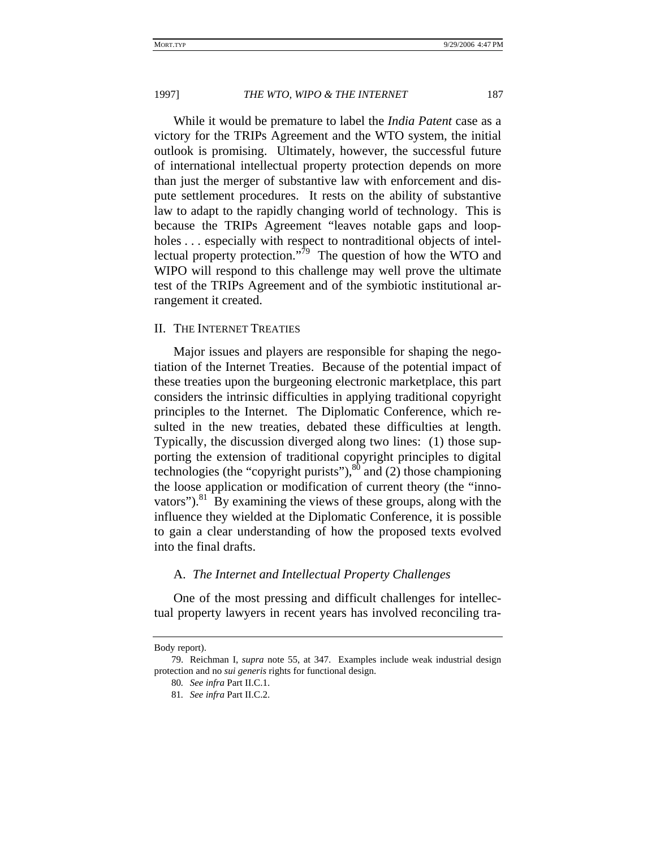While it would be premature to label the *India Patent* case as a victory for the TRIPs Agreement and the WTO system, the initial outlook is promising. Ultimately, however, the successful future of international intellectual property protection depends on more than just the merger of substantive law with enforcement and dispute settlement procedures. It rests on the ability of substantive law to adapt to the rapidly changing world of technology. This is because the TRIPs Agreement "leaves notable gaps and loopholes ... especially with respect to nontraditional objects of intellectual property protection."<sup>79</sup> The question of how the WTO and WIPO will respond to this challenge may well prove the ultimate test of the TRIPs Agreement and of the symbiotic institutional arrangement it created.

#### II. THE INTERNET TREATIES

Major issues and players are responsible for shaping the negotiation of the Internet Treaties. Because of the potential impact of these treaties upon the burgeoning electronic marketplace, this part considers the intrinsic difficulties in applying traditional copyright principles to the Internet. The Diplomatic Conference, which resulted in the new treaties, debated these difficulties at length. Typically, the discussion diverged along two lines: (1) those supporting the extension of traditional copyright principles to digital technologies (the "copyright purists"), $80$  and (2) those championing the loose application or modification of current theory (the "innovators"). $81$  By examining the views of these groups, along with the influence they wielded at the Diplomatic Conference, it is possible to gain a clear understanding of how the proposed texts evolved into the final drafts.

#### A. *The Internet and Intellectual Property Challenges*

One of the most pressing and difficult challenges for intellectual property lawyers in recent years has involved reconciling tra-

Body report).

<sup>79.</sup> Reichman I, *supra* note 55, at 347. Examples include weak industrial design protection and no *sui generis* rights for functional design.

<sup>80</sup>*. See infra* Part II.C.1.

<sup>81</sup>*. See infra* Part II.C.2.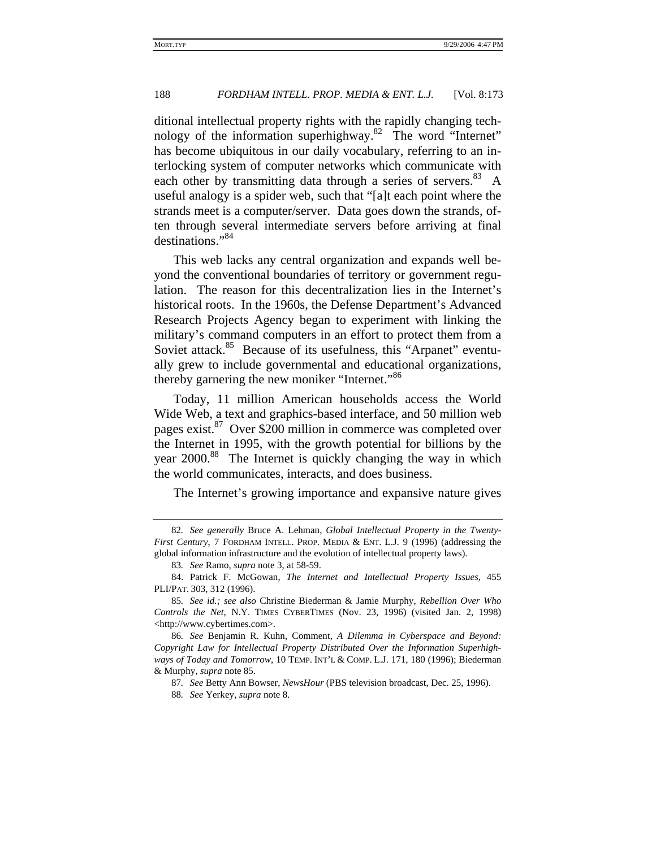ditional intellectual property rights with the rapidly changing technology of the information superhighway.<sup>82</sup> The word "Internet" has become ubiquitous in our daily vocabulary, referring to an interlocking system of computer networks which communicate with each other by transmitting data through a series of servers. $83 A$ useful analogy is a spider web, such that "[a]t each point where the strands meet is a computer/server. Data goes down the strands, often through several intermediate servers before arriving at final destinations."<sup>84</sup>

This web lacks any central organization and expands well beyond the conventional boundaries of territory or government regulation. The reason for this decentralization lies in the Internet's historical roots. In the 1960s, the Defense Department's Advanced Research Projects Agency began to experiment with linking the military's command computers in an effort to protect them from a Soviet attack.<sup>85</sup> Because of its usefulness, this "Arpanet" eventually grew to include governmental and educational organizations, thereby garnering the new moniker "Internet."<sup>86</sup>

Today, 11 million American households access the World Wide Web, a text and graphics-based interface, and 50 million web pages exist.<sup>87</sup> Over \$200 million in commerce was completed over the Internet in 1995, with the growth potential for billions by the year 2000.<sup>88</sup> The Internet is quickly changing the way in which the world communicates, interacts, and does business.

The Internet's growing importance and expansive nature gives

<sup>82</sup>*. See generally* Bruce A. Lehman, *Global Intellectual Property in the Twenty-First Century*, 7 FORDHAM INTELL. PROP. MEDIA & ENT. L.J. 9 (1996) (addressing the global information infrastructure and the evolution of intellectual property laws).

<sup>83</sup>*. See* Ramo, *supra* note 3, at 58-59.

<sup>84.</sup> Patrick F. McGowan, *The Internet and Intellectual Property Issues*, 455 PLI/PAT. 303, 312 (1996).

<sup>85</sup>*. See id.; see also* Christine Biederman & Jamie Murphy, *Rebellion Over Who Controls the Net*, N.Y. TIMES CYBERTIMES (Nov. 23, 1996) (visited Jan. 2, 1998) <http://www.cybertimes.com>.

<sup>86</sup>*. See* Benjamin R. Kuhn, Comment, *A Dilemma in Cyberspace and Beyond: Copyright Law for Intellectual Property Distributed Over the Information Superhighways of Today and Tomorrow*, 10 TEMP. INT'L & COMP. L.J. 171, 180 (1996); Biederman & Murphy, *supra* note 85.

<sup>87</sup>*. See* Betty Ann Bowser, *NewsHour* (PBS television broadcast, Dec. 25, 1996).

<sup>88</sup>*. See* Yerkey, *supra* note 8*.*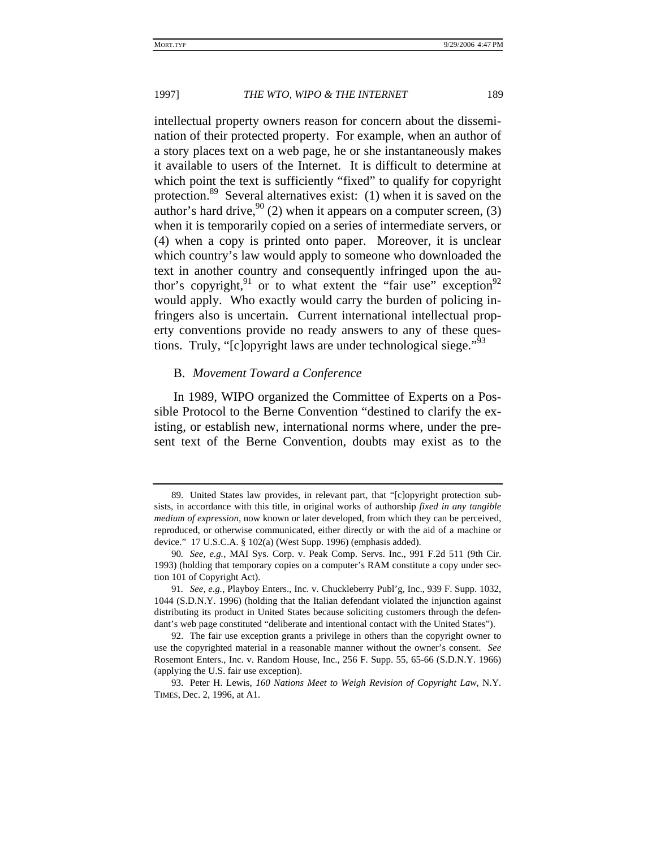intellectual property owners reason for concern about the dissemination of their protected property. For example, when an author of a story places text on a web page, he or she instantaneously makes it available to users of the Internet. It is difficult to determine at which point the text is sufficiently "fixed" to qualify for copyright protection.<sup>89</sup> Several alternatives exist: (1) when it is saved on the author's hard drive,  $90<sup>90</sup>$  (2) when it appears on a computer screen, (3) when it is temporarily copied on a series of intermediate servers, or (4) when a copy is printed onto paper. Moreover, it is unclear which country's law would apply to someone who downloaded the text in another country and consequently infringed upon the author's copyright,<sup>91</sup> or to what extent the "fair use" exception<sup>92</sup> would apply. Who exactly would carry the burden of policing infringers also is uncertain. Current international intellectual property conventions provide no ready answers to any of these questions. Truly, "[c]opyright laws are under technological siege."<sup>93</sup>

#### B. *Movement Toward a Conference*

In 1989, WIPO organized the Committee of Experts on a Possible Protocol to the Berne Convention "destined to clarify the existing, or establish new, international norms where, under the present text of the Berne Convention, doubts may exist as to the

<sup>89.</sup> United States law provides, in relevant part, that "[c]opyright protection subsists, in accordance with this title, in original works of authorship *fixed in any tangible medium of expression*, now known or later developed, from which they can be perceived, reproduced, or otherwise communicated, either directly or with the aid of a machine or device." 17 U.S.C.A. § 102(a) (West Supp. 1996) (emphasis added).

<sup>90</sup>*. See, e.g.*, MAI Sys. Corp. v. Peak Comp. Servs. Inc., 991 F.2d 511 (9th Cir. 1993) (holding that temporary copies on a computer's RAM constitute a copy under section 101 of Copyright Act).

<sup>91</sup>*. See, e.g.*, Playboy Enters., Inc. v. Chuckleberry Publ'g, Inc., 939 F. Supp. 1032, 1044 (S.D.N.Y. 1996) (holding that the Italian defendant violated the injunction against distributing its product in United States because soliciting customers through the defendant's web page constituted "deliberate and intentional contact with the United States").

<sup>92.</sup> The fair use exception grants a privilege in others than the copyright owner to use the copyrighted material in a reasonable manner without the owner's consent. *See* Rosemont Enters., Inc. v. Random House, Inc., 256 F. Supp. 55, 65-66 (S.D.N.Y. 1966) (applying the U.S. fair use exception).

<sup>93.</sup> Peter H. Lewis, *160 Nations Meet to Weigh Revision of Copyright Law*, N.Y. TIMES, Dec. 2, 1996, at A1.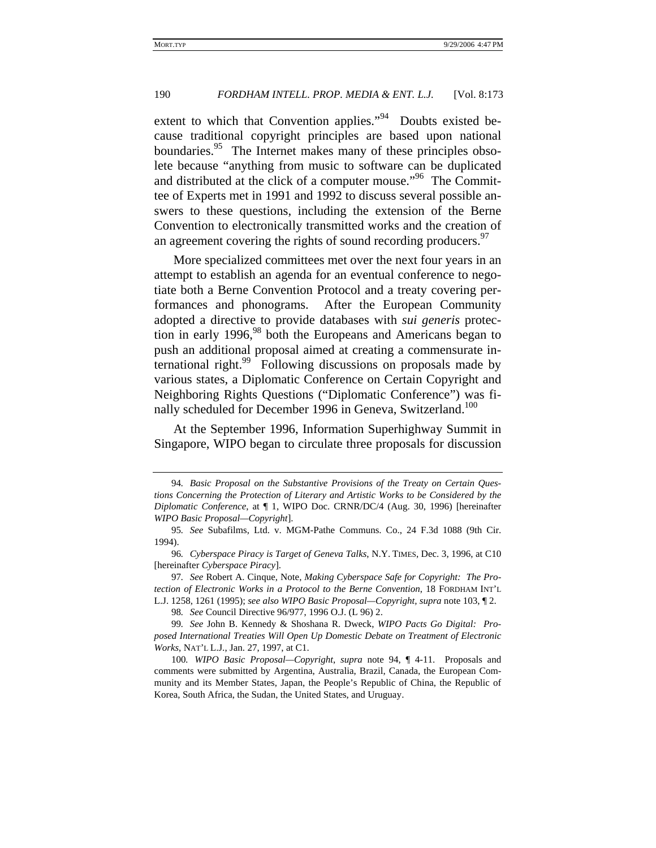extent to which that Convention applies."<sup>94</sup> Doubts existed because traditional copyright principles are based upon national boundaries.<sup>95</sup> The Internet makes many of these principles obsolete because "anything from music to software can be duplicated and distributed at the click of a computer mouse."<sup>96</sup> The Committee of Experts met in 1991 and 1992 to discuss several possible answers to these questions, including the extension of the Berne Convention to electronically transmitted works and the creation of an agreement covering the rights of sound recording producers. $97$ 

More specialized committees met over the next four years in an attempt to establish an agenda for an eventual conference to negotiate both a Berne Convention Protocol and a treaty covering performances and phonograms. After the European Community adopted a directive to provide databases with *sui generis* protection in early 1996, $98$  both the Europeans and Americans began to push an additional proposal aimed at creating a commensurate international right.<sup>99</sup> Following discussions on proposals made by various states, a Diplomatic Conference on Certain Copyright and Neighboring Rights Questions ("Diplomatic Conference") was finally scheduled for December 1996 in Geneva, Switzerland.<sup>100</sup>

At the September 1996, Information Superhighway Summit in Singapore, WIPO began to circulate three proposals for discussion

<sup>94</sup>*. Basic Proposal on the Substantive Provisions of the Treaty on Certain Questions Concerning the Protection of Literary and Artistic Works to be Considered by the Diplomatic Conference*, at ¶ 1, WIPO Doc. CRNR/DC/4 (Aug. 30, 1996) [hereinafter *WIPO Basic Proposal—Copyright*].

<sup>95</sup>*. See* Subafilms, Ltd. v. MGM-Pathe Communs. Co., 24 F.3d 1088 (9th Cir. 1994).

<sup>96</sup>*. Cyberspace Piracy is Target of Geneva Talks*, N.Y. TIMES, Dec. 3, 1996, at C10 [hereinafter *Cyberspace Piracy*].

<sup>97</sup>*. See* Robert A. Cinque, Note, *Making Cyberspace Safe for Copyright: The Protection of Electronic Works in a Protocol to the Berne Convention*, 18 FORDHAM INT'L L.J. 1258, 1261 (1995); *see also WIPO Basic Proposal—Copyright, supra* note 103, ¶ 2.

<sup>98</sup>*. See* Council Directive 96/977, 1996 O.J. (L 96) 2.

<sup>99</sup>*. See* John B. Kennedy & Shoshana R. Dweck, *WIPO Pacts Go Digital: Proposed International Treaties Will Open Up Domestic Debate on Treatment of Electronic Works*, NAT'L L.J., Jan. 27, 1997, at C1.

<sup>100</sup>*. WIPO Basic Proposal—Copyright*, *supra* note 94, ¶ 4-11. Proposals and comments were submitted by Argentina, Australia, Brazil, Canada, the European Community and its Member States, Japan, the People's Republic of China, the Republic of Korea, South Africa, the Sudan, the United States, and Uruguay.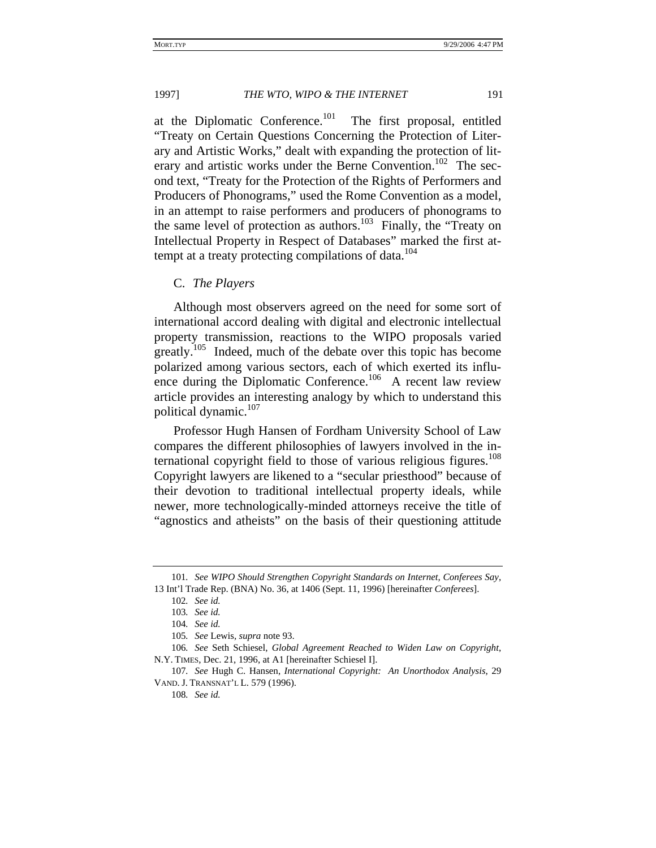at the Diplomatic Conference.<sup>101</sup> The first proposal, entitled "Treaty on Certain Questions Concerning the Protection of Literary and Artistic Works," dealt with expanding the protection of literary and artistic works under the Berne Convention.<sup>102</sup> The second text, "Treaty for the Protection of the Rights of Performers and Producers of Phonograms," used the Rome Convention as a model, in an attempt to raise performers and producers of phonograms to the same level of protection as authors.<sup>103</sup> Finally, the "Treaty on Intellectual Property in Respect of Databases" marked the first attempt at a treaty protecting compilations of data. $104$ 

C. *The Players*

Although most observers agreed on the need for some sort of international accord dealing with digital and electronic intellectual property transmission, reactions to the WIPO proposals varied greatly.105 Indeed, much of the debate over this topic has become polarized among various sectors, each of which exerted its influence during the Diplomatic Conference.<sup>106</sup> A recent law review article provides an interesting analogy by which to understand this political dynamic.<sup>107</sup>

Professor Hugh Hansen of Fordham University School of Law compares the different philosophies of lawyers involved in the international copyright field to those of various religious figures.<sup>108</sup> Copyright lawyers are likened to a "secular priesthood" because of their devotion to traditional intellectual property ideals, while newer, more technologically-minded attorneys receive the title of "agnostics and atheists" on the basis of their questioning attitude

<sup>101</sup>*. See WIPO Should Strengthen Copyright Standards on Internet, Conferees Say*, 13 Int'l Trade Rep. (BNA) No. 36, at 1406 (Sept. 11, 1996) [hereinafter *Conferees*].

<sup>102</sup>*. See id.*

<sup>103</sup>*. See id.*

<sup>104</sup>*. See id.*

<sup>105</sup>*. See* Lewis*, supra* note 93.

<sup>106</sup>*. See* Seth Schiesel, *Global Agreement Reached to Widen Law on Copyright*, N.Y. TIMES, Dec. 21, 1996, at A1 [hereinafter Schiesel I].

<sup>107</sup>*. See* Hugh C. Hansen, *International Copyright: An Unorthodox Analysis*, 29 VAND. J. TRANSNAT'L L. 579 (1996).

<sup>108</sup>*. See id.*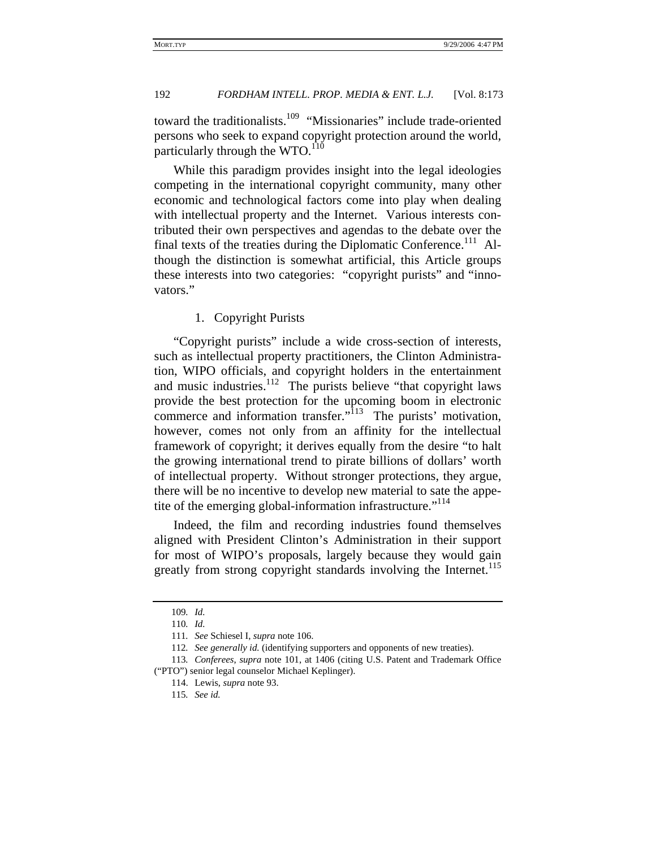toward the traditionalists.<sup>109</sup> "Missionaries" include trade-oriented persons who seek to expand copyright protection around the world, particularly through the WTO. $^{110}$ 

While this paradigm provides insight into the legal ideologies competing in the international copyright community, many other economic and technological factors come into play when dealing with intellectual property and the Internet. Various interests contributed their own perspectives and agendas to the debate over the final texts of the treaties during the Diplomatic Conference.<sup>111</sup> Although the distinction is somewhat artificial, this Article groups these interests into two categories: "copyright purists" and "innovators."

# 1. Copyright Purists

"Copyright purists" include a wide cross-section of interests, such as intellectual property practitioners, the Clinton Administration, WIPO officials, and copyright holders in the entertainment and music industries.<sup>112</sup> The purists believe "that copyright laws provide the best protection for the upcoming boom in electronic commerce and information transfer."<sup>113</sup> The purists' motivation, however, comes not only from an affinity for the intellectual framework of copyright; it derives equally from the desire "to halt the growing international trend to pirate billions of dollars' worth of intellectual property. Without stronger protections, they argue, there will be no incentive to develop new material to sate the appetite of the emerging global-information infrastructure."<sup>114</sup>

Indeed, the film and recording industries found themselves aligned with President Clinton's Administration in their support for most of WIPO's proposals, largely because they would gain greatly from strong copyright standards involving the Internet.<sup>115</sup>

<sup>109</sup>*. Id.*

<sup>110</sup>*. Id.*

<sup>111</sup>*. See* Schiesel I, *supra* note 106.

<sup>112</sup>*. See generally id.* (identifying supporters and opponents of new treaties).

<sup>113</sup>*. Conferees*, *supra* note 101, at 1406 (citing U.S. Patent and Trademark Office ("PTO") senior legal counselor Michael Keplinger).

<sup>114.</sup> Lewis, *supra* note 93. 115*. See id.*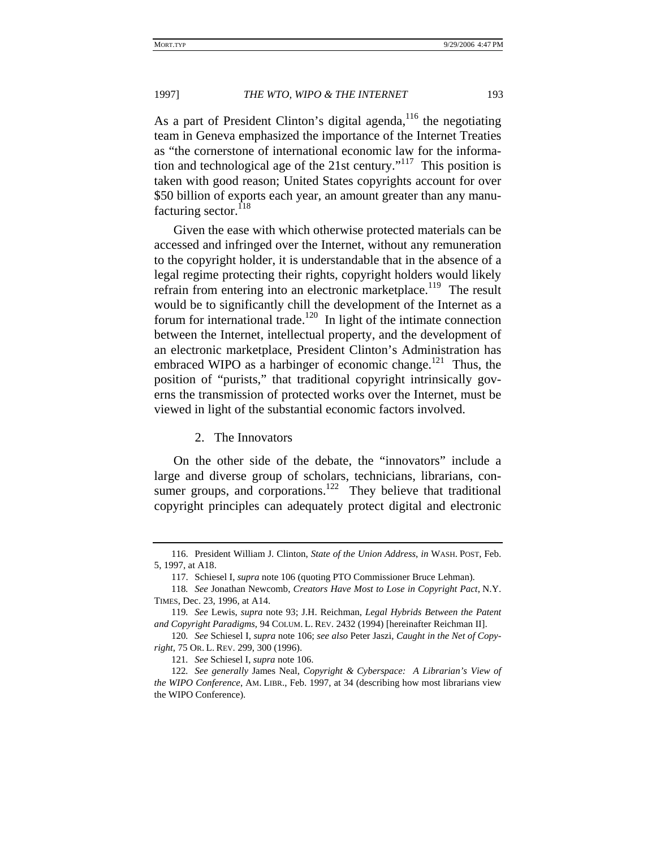As a part of President Clinton's digital agenda,<sup>116</sup> the negotiating team in Geneva emphasized the importance of the Internet Treaties as "the cornerstone of international economic law for the information and technological age of the 21st century."117 This position is taken with good reason; United States copyrights account for over \$50 billion of exports each year, an amount greater than any manufacturing sector.<sup>118</sup>

Given the ease with which otherwise protected materials can be accessed and infringed over the Internet, without any remuneration to the copyright holder, it is understandable that in the absence of a legal regime protecting their rights, copyright holders would likely refrain from entering into an electronic marketplace.<sup>119</sup> The result would be to significantly chill the development of the Internet as a forum for international trade.<sup>120</sup> In light of the intimate connection between the Internet, intellectual property, and the development of an electronic marketplace, President Clinton's Administration has embraced WIPO as a harbinger of economic change.<sup>121</sup> Thus, the position of "purists," that traditional copyright intrinsically governs the transmission of protected works over the Internet, must be viewed in light of the substantial economic factors involved.

#### 2. The Innovators

On the other side of the debate, the "innovators" include a large and diverse group of scholars, technicians, librarians, consumer groups, and corporations.<sup>122</sup> They believe that traditional copyright principles can adequately protect digital and electronic

<sup>116.</sup> President William J. Clinton, *State of the Union Address*, *in* WASH. POST, Feb. 5, 1997, at A18.

<sup>117.</sup> Schiesel I, *supra* note 106 (quoting PTO Commissioner Bruce Lehman).

<sup>118</sup>*. See* Jonathan Newcomb, *Creators Have Most to Lose in Copyright Pact*, N.Y. TIMES, Dec. 23, 1996, at A14.

<sup>119</sup>*. See* Lewis, *supra* note 93; J.H. Reichman, *Legal Hybrids Between the Patent and Copyright Paradigms*, 94 COLUM. L. REV. 2432 (1994) [hereinafter Reichman II].

<sup>120</sup>*. See* Schiesel I, *supra* note 106; *see also* Peter Jaszi, *Caught in the Net of Copyright*, 75 OR. L. REV. 299, 300 (1996).

<sup>121</sup>*. See* Schiesel I, *supra* note 106.

<sup>122</sup>*. See generally* James Neal, *Copyright & Cyberspace: A Librarian's View of the WIPO Conference*, AM. LIBR., Feb. 1997, at 34 (describing how most librarians view the WIPO Conference).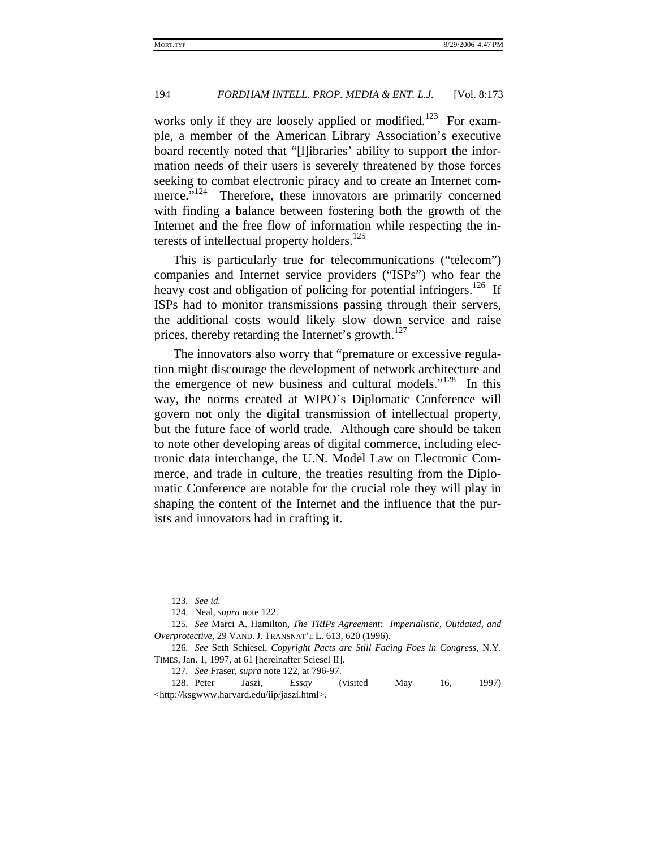works only if they are loosely applied or modified.<sup>123</sup> For example, a member of the American Library Association's executive board recently noted that "[l]ibraries' ability to support the information needs of their users is severely threatened by those forces seeking to combat electronic piracy and to create an Internet commerce."<sup>124</sup> Therefore, these innovators are primarily concerned with finding a balance between fostering both the growth of the Internet and the free flow of information while respecting the interests of intellectual property holders.<sup>125</sup>

This is particularly true for telecommunications ("telecom") companies and Internet service providers ("ISPs") who fear the heavy cost and obligation of policing for potential infringers.<sup>126</sup> If ISPs had to monitor transmissions passing through their servers, the additional costs would likely slow down service and raise prices, thereby retarding the Internet's growth.<sup>127</sup>

The innovators also worry that "premature or excessive regulation might discourage the development of network architecture and the emergence of new business and cultural models."<sup>128</sup> In this way, the norms created at WIPO's Diplomatic Conference will govern not only the digital transmission of intellectual property, but the future face of world trade. Although care should be taken to note other developing areas of digital commerce, including electronic data interchange, the U.N. Model Law on Electronic Commerce, and trade in culture, the treaties resulting from the Diplomatic Conference are notable for the crucial role they will play in shaping the content of the Internet and the influence that the purists and innovators had in crafting it.

<sup>123</sup>*. See id.*

<sup>124.</sup> Neal, *supra* note 122.

<sup>125</sup>*. See* Marci A. Hamilton, *The TRIPs Agreement: Imperialistic, Outdated, and Overprotective*, 29 VAND. J. TRANSNAT'L L. 613, 620 (1996).

<sup>126</sup>*. See* Seth Schiesel, *Copyright Pacts are Still Facing Foes in Congress*, N.Y. TIMES, Jan. 1, 1997, at 61 [hereinafter Sciesel II].

<sup>127</sup>*. See* Fraser, *supra* note 122, at 796-97.

<sup>128.</sup> Peter Jaszi, *Essay* (visited May 16, 1997) <http://ksgwww.harvard.edu/iip/jaszi.html>.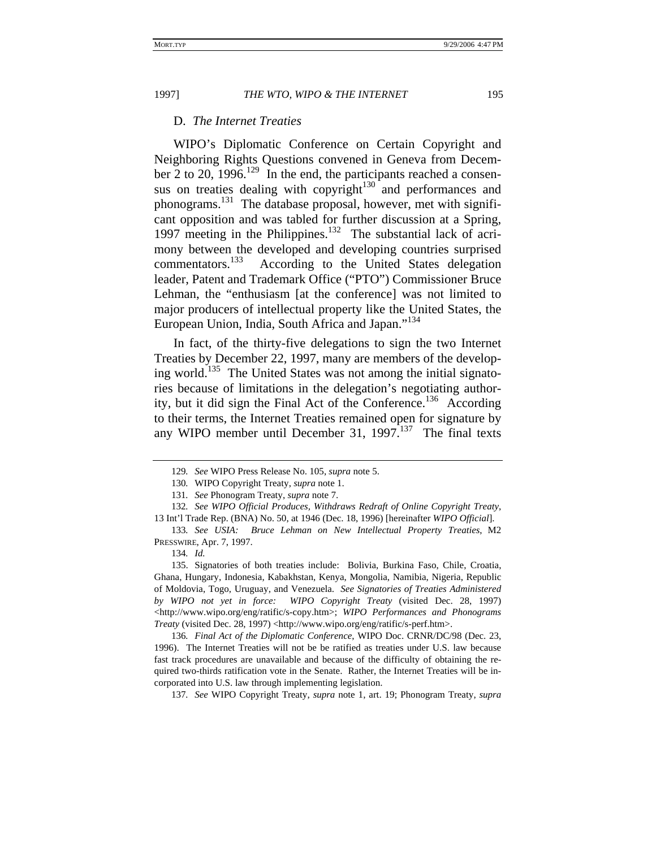#### D. *The Internet Treaties*

WIPO's Diplomatic Conference on Certain Copyright and Neighboring Rights Questions convened in Geneva from December 2 to 20, 1996.<sup>129</sup> In the end, the participants reached a consensus on treaties dealing with copyright $130$  and performances and phonograms.131 The database proposal, however, met with significant opposition and was tabled for further discussion at a Spring, 1997 meeting in the Philippines.<sup>132</sup> The substantial lack of acrimony between the developed and developing countries surprised commentators.<sup>133</sup> According to the United States delegation leader, Patent and Trademark Office ("PTO") Commissioner Bruce Lehman, the "enthusiasm [at the conference] was not limited to major producers of intellectual property like the United States, the European Union, India, South Africa and Japan."<sup>134</sup>

In fact, of the thirty-five delegations to sign the two Internet Treaties by December 22, 1997, many are members of the developing world.<sup>135</sup> The United States was not among the initial signatories because of limitations in the delegation's negotiating authority, but it did sign the Final Act of the Conference.<sup>136</sup> According to their terms, the Internet Treaties remained open for signature by any WIPO member until December 31,  $1997$ <sup>137</sup> The final texts

<sup>129</sup>*. See* WIPO Press Release No. 105, *supra* note 5.

<sup>130</sup>*.* WIPO Copyright Treaty, *supra* note 1.

<sup>131</sup>*. See* Phonogram Treaty, *supra* note 7.

<sup>132</sup>*. See WIPO Official Produces, Withdraws Redraft of Online Copyright Treaty*,

<sup>13</sup> Int'l Trade Rep. (BNA) No. 50, at 1946 (Dec. 18, 1996) [hereinafter *WIPO Official*]. 133*. See USIA: Bruce Lehman on New Intellectual Property Treaties*, M2

PRESSWIRE, Apr. 7, 1997.

<sup>134</sup>*. Id.*

<sup>135.</sup> Signatories of both treaties include: Bolivia, Burkina Faso, Chile, Croatia, Ghana, Hungary, Indonesia, Kabakhstan, Kenya, Mongolia, Namibia, Nigeria, Republic of Moldovia, Togo, Uruguay, and Venezuela. *See Signatories of Treaties Administered by WIPO not yet in force: WIPO Copyright Treaty* (visited Dec. 28, 1997) <http://www.wipo.org/eng/ratific/s-copy.htm>; *WIPO Performances and Phonograms Treaty* (visited Dec. 28, 1997) <http://www.wipo.org/eng/ratific/s-perf.htm>.

<sup>136</sup>*. Final Act of the Diplomatic Conference*, WIPO Doc. CRNR/DC/98 (Dec. 23, 1996). The Internet Treaties will not be be ratified as treaties under U.S. law because fast track procedures are unavailable and because of the difficulty of obtaining the required two-thirds ratification vote in the Senate. Rather, the Internet Treaties will be incorporated into U.S. law through implementing legislation.

<sup>137</sup>*. See* WIPO Copyright Treaty, *supra* note 1, art. 19; Phonogram Treaty, *supra*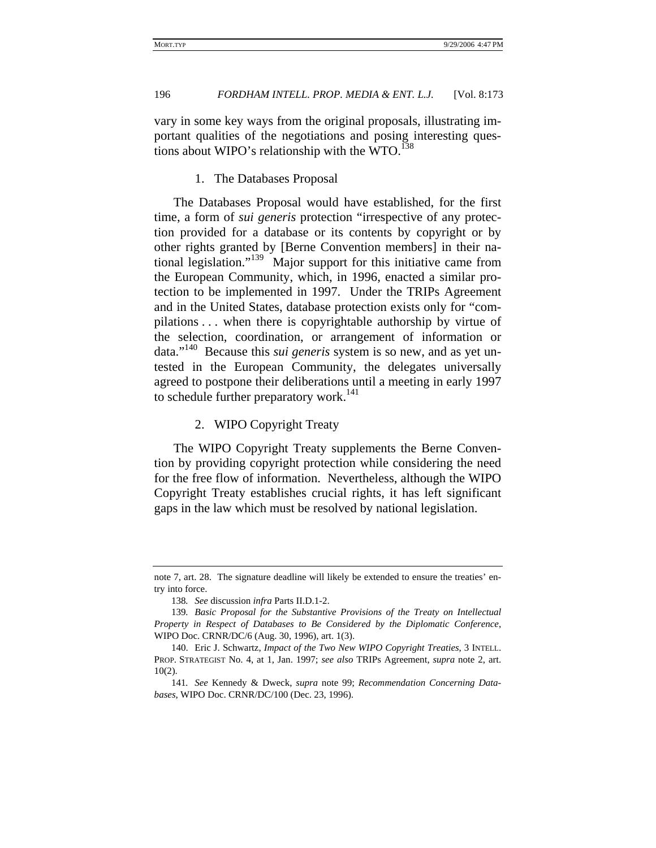vary in some key ways from the original proposals, illustrating important qualities of the negotiations and posing interesting questions about WIPO's relationship with the WTO. $138$ 

#### 1. The Databases Proposal

The Databases Proposal would have established, for the first time, a form of *sui generis* protection "irrespective of any protection provided for a database or its contents by copyright or by other rights granted by [Berne Convention members] in their national legislation."<sup>139</sup> Major support for this initiative came from the European Community, which, in 1996, enacted a similar protection to be implemented in 1997. Under the TRIPs Agreement and in the United States, database protection exists only for "compilations . . . when there is copyrightable authorship by virtue of the selection, coordination, or arrangement of information or data."140 Because this *sui generis* system is so new, and as yet untested in the European Community, the delegates universally agreed to postpone their deliberations until a meeting in early 1997 to schedule further preparatory work.<sup>141</sup>

### 2. WIPO Copyright Treaty

The WIPO Copyright Treaty supplements the Berne Convention by providing copyright protection while considering the need for the free flow of information. Nevertheless, although the WIPO Copyright Treaty establishes crucial rights, it has left significant gaps in the law which must be resolved by national legislation.

note 7, art. 28. The signature deadline will likely be extended to ensure the treaties' entry into force.

<sup>138</sup>*. See* discussion *infra* Parts II.D.1-2.

<sup>139</sup>*. Basic Proposal for the Substantive Provisions of the Treaty on Intellectual Property in Respect of Databases to Be Considered by the Diplomatic Conference*, WIPO Doc. CRNR/DC/6 (Aug. 30, 1996), art. 1(3).

<sup>140.</sup> Eric J. Schwartz, *Impact of the Two New WIPO Copyright Treaties*, 3 INTELL. PROP. STRATEGIST No. 4, at 1, Jan. 1997; *see also* TRIPs Agreement, *supra* note 2, art. 10(2).

<sup>141</sup>*. See* Kennedy & Dweck, *supra* note 99; *Recommendation Concerning Databases*, WIPO Doc. CRNR/DC/100 (Dec. 23, 1996).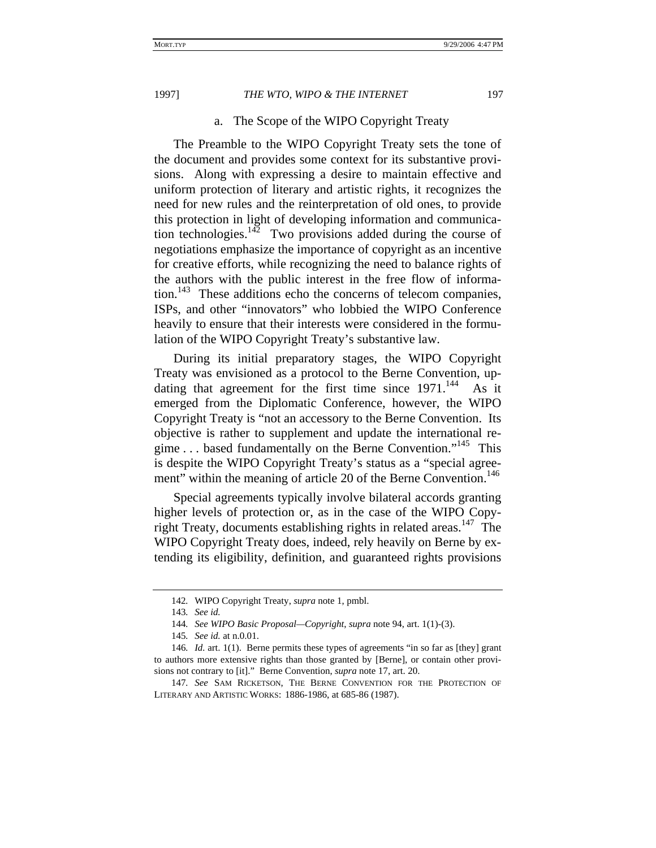#### a. The Scope of the WIPO Copyright Treaty

The Preamble to the WIPO Copyright Treaty sets the tone of the document and provides some context for its substantive provisions. Along with expressing a desire to maintain effective and uniform protection of literary and artistic rights, it recognizes the need for new rules and the reinterpretation of old ones, to provide this protection in light of developing information and communication technologies. $142$  Two provisions added during the course of negotiations emphasize the importance of copyright as an incentive for creative efforts, while recognizing the need to balance rights of the authors with the public interest in the free flow of information.<sup>143</sup> These additions echo the concerns of telecom companies, ISPs, and other "innovators" who lobbied the WIPO Conference heavily to ensure that their interests were considered in the formulation of the WIPO Copyright Treaty's substantive law.

During its initial preparatory stages, the WIPO Copyright Treaty was envisioned as a protocol to the Berne Convention, updating that agreement for the first time since  $1971$ .<sup>144</sup> As it emerged from the Diplomatic Conference, however, the WIPO Copyright Treaty is "not an accessory to the Berne Convention. Its objective is rather to supplement and update the international regime . . . based fundamentally on the Berne Convention."<sup>145</sup> This is despite the WIPO Copyright Treaty's status as a "special agreement" within the meaning of article 20 of the Berne Convention.<sup>146</sup>

Special agreements typically involve bilateral accords granting higher levels of protection or, as in the case of the WIPO Copyright Treaty, documents establishing rights in related areas.<sup>147</sup> The WIPO Copyright Treaty does, indeed, rely heavily on Berne by extending its eligibility, definition, and guaranteed rights provisions

<sup>142</sup>*.* WIPO Copyright Treaty, *supra* note 1, pmbl.

<sup>143</sup>*. See id.*

<sup>144</sup>*. See WIPO Basic Proposal—Copyright*, *supra* note 94, art. 1(1)-(3).

<sup>145</sup>*. See id.* at n.0.01.

<sup>146</sup>*. Id.* art. 1(1). Berne permits these types of agreements "in so far as [they] grant to authors more extensive rights than those granted by [Berne], or contain other provisions not contrary to [it]." Berne Convention, *supra* note 17, art. 20.

<sup>147</sup>*. See* SAM RICKETSON, THE BERNE CONVENTION FOR THE PROTECTION OF LITERARY AND ARTISTIC WORKS: 1886-1986, at 685-86 (1987).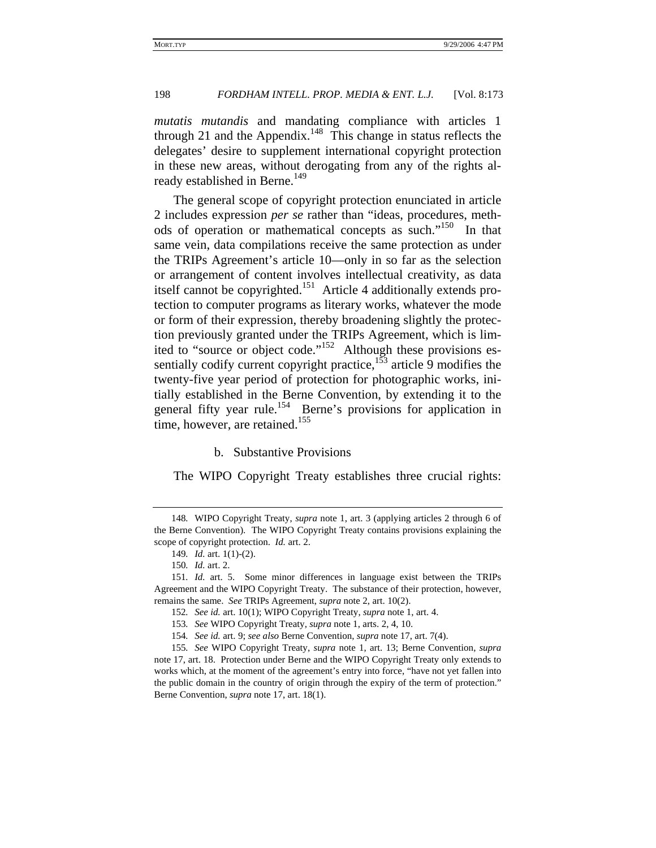*mutatis mutandis* and mandating compliance with articles 1 through 21 and the Appendix.<sup>148</sup> This change in status reflects the delegates' desire to supplement international copyright protection in these new areas, without derogating from any of the rights already established in Berne.<sup>149</sup>

The general scope of copyright protection enunciated in article 2 includes expression *per se* rather than "ideas, procedures, methods of operation or mathematical concepts as such."<sup>150</sup> In that same vein, data compilations receive the same protection as under the TRIPs Agreement's article 10—only in so far as the selection or arrangement of content involves intellectual creativity, as data itself cannot be copyrighted.151 Article 4 additionally extends protection to computer programs as literary works, whatever the mode or form of their expression, thereby broadening slightly the protection previously granted under the TRIPs Agreement, which is limited to "source or object code."<sup>152</sup> Although these provisions essentially codify current copyright practice, $153$  article 9 modifies the twenty-five year period of protection for photographic works, initially established in the Berne Convention, by extending it to the general fifty year rule.<sup>154</sup> Berne's provisions for application in time, however, are retained.<sup>155</sup>

#### b. Substantive Provisions

The WIPO Copyright Treaty establishes three crucial rights:

<sup>148</sup>*.* WIPO Copyright Treaty, *supra* note 1, art. 3 (applying articles 2 through 6 of the Berne Convention). The WIPO Copyright Treaty contains provisions explaining the scope of copyright protection. *Id.* art. 2.

<sup>149</sup>*. Id.* art. 1(1)-(2).

<sup>150</sup>*. Id.* art. 2.

<sup>151</sup>*. Id.* art. 5. Some minor differences in language exist between the TRIPs Agreement and the WIPO Copyright Treaty. The substance of their protection, however, remains the same. *See* TRIPs Agreement, *supra* note 2, art. 10(2).

<sup>152</sup>*. See id.* art. 10(1); WIPO Copyright Treaty, *supra* note 1, art. 4.

<sup>153</sup>*. See* WIPO Copyright Treaty, *supra* note 1, arts. 2, 4, 10.

<sup>154</sup>*. See id.* art. 9; *see also* Berne Convention, *supra* note 17, art. 7(4).

<sup>155</sup>*. See* WIPO Copyright Treaty, *supra* note 1, art. 13; Berne Convention, *supra* note 17, art. 18. Protection under Berne and the WIPO Copyright Treaty only extends to works which, at the moment of the agreement's entry into force, "have not yet fallen into the public domain in the country of origin through the expiry of the term of protection." Berne Convention, *supra* note 17, art. 18(1).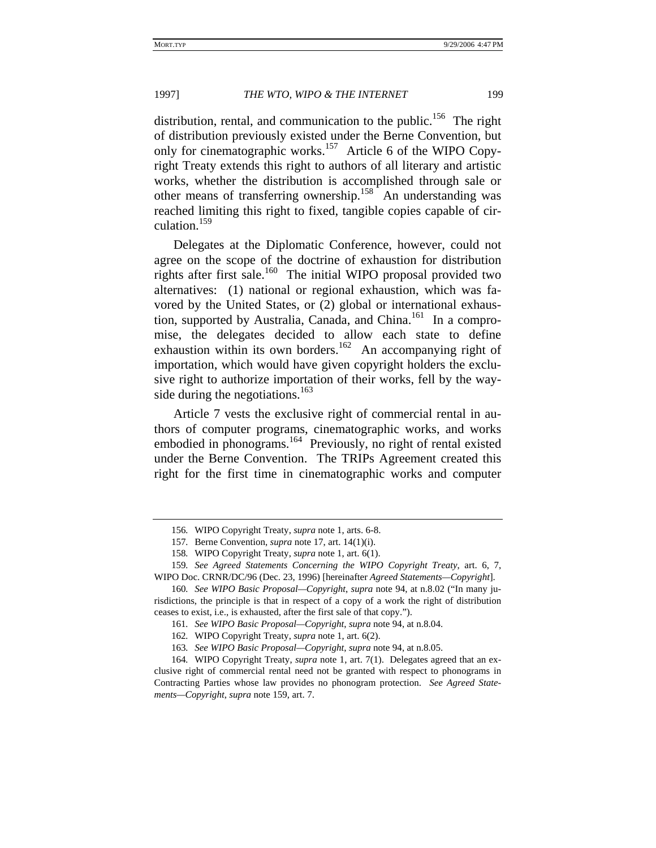distribution, rental, and communication to the public.<sup>156</sup> The right of distribution previously existed under the Berne Convention, but only for cinematographic works.<sup>157</sup> Article 6 of the WIPO Copyright Treaty extends this right to authors of all literary and artistic works, whether the distribution is accomplished through sale or other means of transferring ownership.<sup>158</sup> An understanding was reached limiting this right to fixed, tangible copies capable of circulation.159

Delegates at the Diplomatic Conference, however, could not agree on the scope of the doctrine of exhaustion for distribution rights after first sale.160 The initial WIPO proposal provided two alternatives: (1) national or regional exhaustion, which was favored by the United States, or (2) global or international exhaustion, supported by Australia, Canada, and China. $161$  In a compromise, the delegates decided to allow each state to define exhaustion within its own borders.<sup>162</sup> An accompanying right of importation, which would have given copyright holders the exclusive right to authorize importation of their works, fell by the wayside during the negotiations. $163$ 

Article 7 vests the exclusive right of commercial rental in authors of computer programs, cinematographic works, and works embodied in phonograms.<sup>164</sup> Previously, no right of rental existed under the Berne Convention. The TRIPs Agreement created this right for the first time in cinematographic works and computer

<sup>156</sup>*.* WIPO Copyright Treaty, *supra* note 1, arts. 6-8.

<sup>157</sup>*.* Berne Convention, *supra* note 17, art. 14(1)(i).

<sup>158</sup>*.* WIPO Copyright Treaty, *supra* note 1, art. 6(1).

<sup>159</sup>*. See Agreed Statements Concerning the WIPO Copyright Treaty*, art. 6, 7, WIPO Doc. CRNR/DC/96 (Dec. 23, 1996) [hereinafter *Agreed Statements—Copyright*].

<sup>160</sup>*. See WIPO Basic Proposal—Copyright*, *supra* note 94, at n.8.02 ("In many jurisdictions, the principle is that in respect of a copy of a work the right of distribution ceases to exist, i.e., is exhausted, after the first sale of that copy.").

<sup>161</sup>*. See WIPO Basic Proposal—Copyright*, *supra* note 94, at n.8.04.

<sup>162</sup>*.* WIPO Copyright Treaty, *supra* note 1, art. 6(2).

<sup>163</sup>*. See WIPO Basic Proposal—Copyright*, *supra* note 94, at n.8.05.

<sup>164</sup>*.* WIPO Copyright Treaty, *supra* note 1, art. 7(1). Delegates agreed that an exclusive right of commercial rental need not be granted with respect to phonograms in Contracting Parties whose law provides no phonogram protection. *See Agreed Statements—Copyright*, *supra* note 159, art. 7.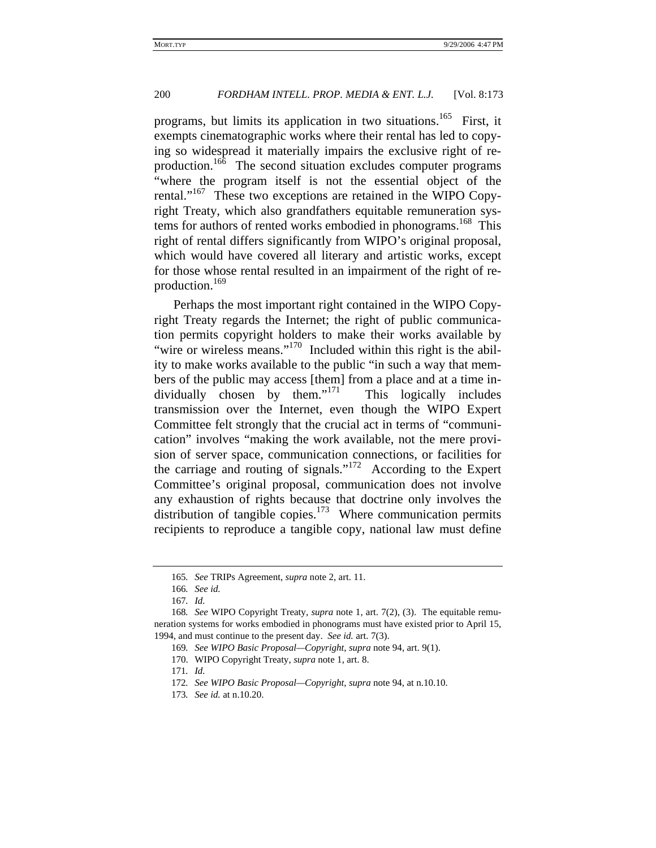programs, but limits its application in two situations.<sup>165</sup> First, it exempts cinematographic works where their rental has led to copying so widespread it materially impairs the exclusive right of reproduction.<sup>166</sup> The second situation excludes computer programs "where the program itself is not the essential object of the rental."<sup>167</sup> These two exceptions are retained in the WIPO Copyright Treaty, which also grandfathers equitable remuneration systems for authors of rented works embodied in phonograms.<sup>168</sup> This right of rental differs significantly from WIPO's original proposal, which would have covered all literary and artistic works, except for those whose rental resulted in an impairment of the right of reproduction.<sup>169</sup>

Perhaps the most important right contained in the WIPO Copyright Treaty regards the Internet; the right of public communication permits copyright holders to make their works available by "wire or wireless means."<sup>170</sup> Included within this right is the ability to make works available to the public "in such a way that members of the public may access [them] from a place and at a time in $dividually$  chosen by them."<sup>171</sup> This logically includes transmission over the Internet, even though the WIPO Expert Committee felt strongly that the crucial act in terms of "communication" involves "making the work available, not the mere provision of server space, communication connections, or facilities for the carriage and routing of signals."172 According to the Expert Committee's original proposal, communication does not involve any exhaustion of rights because that doctrine only involves the distribution of tangible copies.<sup>173</sup> Where communication permits recipients to reproduce a tangible copy, national law must define

170. WIPO Copyright Treaty, *supra* note 1, art. 8.

171*. Id.*

<sup>165</sup>*. See* TRIPs Agreement, *supra* note 2, art. 11.

<sup>166</sup>*. See id.*

<sup>167</sup>*. Id.*

<sup>168</sup>*. See* WIPO Copyright Treaty, *supra* note 1, art. 7(2), (3). The equitable remuneration systems for works embodied in phonograms must have existed prior to April 15, 1994, and must continue to the present day. *See id.* art. 7(3).

<sup>169</sup>*. See WIPO Basic Proposal—Copyright*, *supra* note 94, art. 9(1).

<sup>172</sup>*. See WIPO Basic Proposal—Copyright*, *supra* note 94, at n.10.10.

<sup>173</sup>*. See id.* at n.10.20.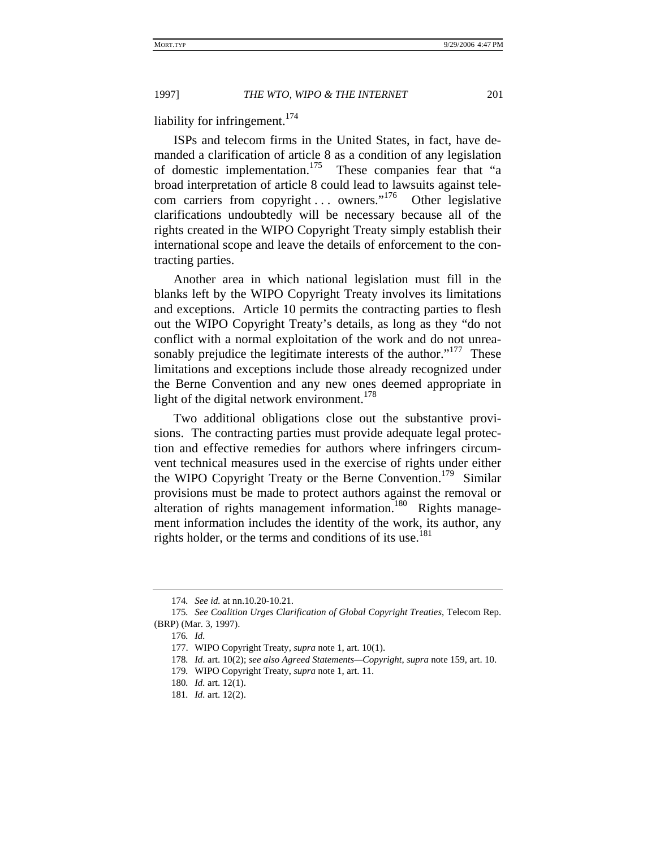liability for infringement.<sup>174</sup>

ISPs and telecom firms in the United States, in fact, have demanded a clarification of article 8 as a condition of any legislation of domestic implementation.175 These companies fear that "a broad interpretation of article 8 could lead to lawsuits against telecom carriers from copyright . . . owners."<sup>176</sup> Other legislative clarifications undoubtedly will be necessary because all of the rights created in the WIPO Copyright Treaty simply establish their international scope and leave the details of enforcement to the contracting parties.

Another area in which national legislation must fill in the blanks left by the WIPO Copyright Treaty involves its limitations and exceptions. Article 10 permits the contracting parties to flesh out the WIPO Copyright Treaty's details, as long as they "do not conflict with a normal exploitation of the work and do not unreasonably prejudice the legitimate interests of the author." $177$  These limitations and exceptions include those already recognized under the Berne Convention and any new ones deemed appropriate in light of the digital network environment. $178$ 

Two additional obligations close out the substantive provisions. The contracting parties must provide adequate legal protection and effective remedies for authors where infringers circumvent technical measures used in the exercise of rights under either the WIPO Copyright Treaty or the Berne Convention.<sup>179</sup> Similar provisions must be made to protect authors against the removal or alteration of rights management information.<sup>180</sup> Rights management information includes the identity of the work, its author, any rights holder, or the terms and conditions of its use.<sup>181</sup>

<sup>174</sup>*. See id.* at nn.10.20-10.21.

<sup>175</sup>*. See Coalition Urges Clarification of Global Copyright Treaties*, Telecom Rep. (BRP) (Mar. 3, 1997).

<sup>176</sup>*. Id.*

<sup>177.</sup> WIPO Copyright Treaty, *supra* note 1, art. 10(1).

<sup>178</sup>*. Id.* art. 10(2); *see also Agreed Statements—Copyright*, *supra* note 159, art. 10.

<sup>179</sup>*.* WIPO Copyright Treaty, *supra* note 1, art. 11.

<sup>180</sup>*. Id.* art. 12(1).

<sup>181</sup>*. Id.* art. 12(2).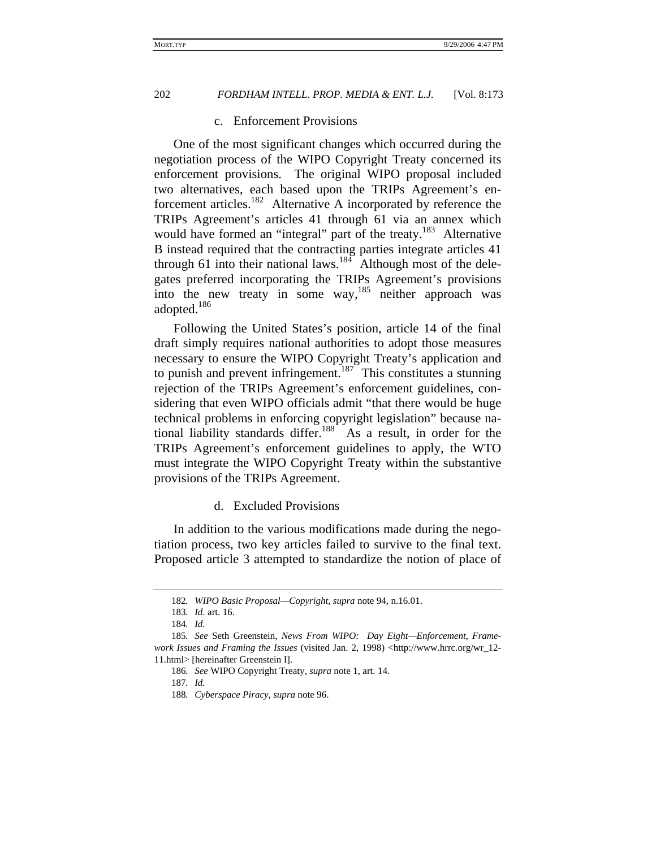#### c. Enforcement Provisions

One of the most significant changes which occurred during the negotiation process of the WIPO Copyright Treaty concerned its enforcement provisions. The original WIPO proposal included two alternatives, each based upon the TRIPs Agreement's enforcement articles.182 Alternative A incorporated by reference the TRIPs Agreement's articles 41 through 61 via an annex which would have formed an "integral" part of the treaty.<sup>183</sup> Alternative B instead required that the contracting parties integrate articles 41 through 61 into their national laws.<sup>184</sup> Although most of the delegates preferred incorporating the TRIPs Agreement's provisions into the new treaty in some way, $185$  neither approach was adopted.186

Following the United States's position, article 14 of the final draft simply requires national authorities to adopt those measures necessary to ensure the WIPO Copyright Treaty's application and to punish and prevent infringement.<sup>187</sup> This constitutes a stunning rejection of the TRIPs Agreement's enforcement guidelines, considering that even WIPO officials admit "that there would be huge technical problems in enforcing copyright legislation" because national liability standards differ.<sup>188</sup> As a result, in order for the TRIPs Agreement's enforcement guidelines to apply, the WTO must integrate the WIPO Copyright Treaty within the substantive provisions of the TRIPs Agreement.

#### d. Excluded Provisions

In addition to the various modifications made during the negotiation process, two key articles failed to survive to the final text. Proposed article 3 attempted to standardize the notion of place of

<sup>182</sup>*. WIPO Basic Proposal—Copyright*, *supra* note 94, n.16.01.

<sup>183</sup>*. Id.* art. 16.

<sup>184</sup>*. Id.*

<sup>185</sup>*. See* Seth Greenstein, *News From WIPO: Day Eight—Enforcement, Framework Issues and Framing the Issues* (visited Jan. 2, 1998) <http://www.hrrc.org/wr\_12- 11.html> [hereinafter Greenstein I].

<sup>186</sup>*. See* WIPO Copyright Treaty, *supra* note 1, art. 14.

<sup>187</sup>*. Id.*

<sup>188</sup>*. Cyberspace Piracy, supra* note 96.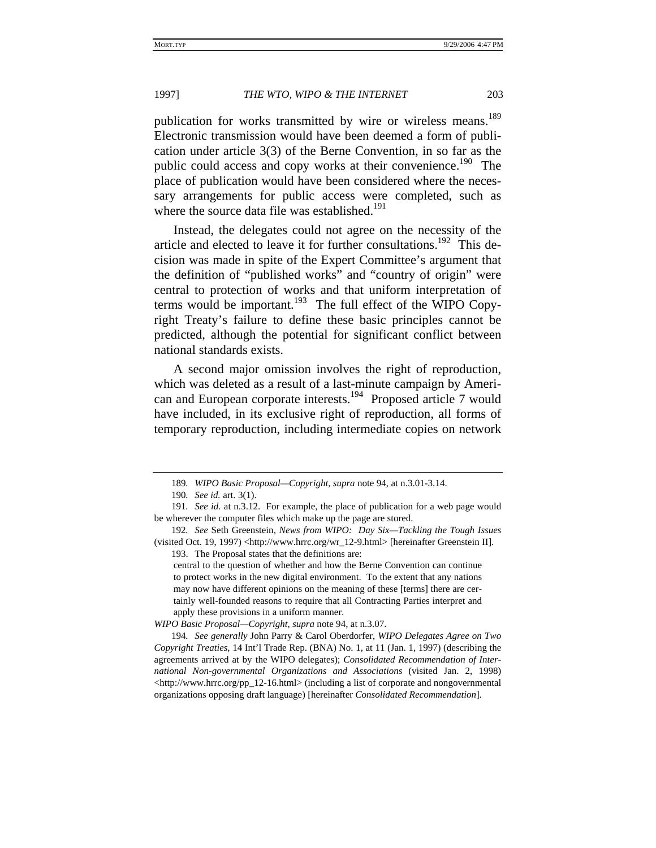publication for works transmitted by wire or wireless means.<sup>189</sup> Electronic transmission would have been deemed a form of publication under article 3(3) of the Berne Convention, in so far as the public could access and copy works at their convenience.<sup>190</sup> The place of publication would have been considered where the necessary arrangements for public access were completed, such as where the source data file was established.<sup>191</sup>

Instead, the delegates could not agree on the necessity of the article and elected to leave it for further consultations.<sup>192</sup> This decision was made in spite of the Expert Committee's argument that the definition of "published works" and "country of origin" were central to protection of works and that uniform interpretation of terms would be important.<sup>193</sup> The full effect of the WIPO Copyright Treaty's failure to define these basic principles cannot be predicted, although the potential for significant conflict between national standards exists.

A second major omission involves the right of reproduction, which was deleted as a result of a last-minute campaign by American and European corporate interests.<sup>194</sup> Proposed article 7 would have included, in its exclusive right of reproduction, all forms of temporary reproduction, including intermediate copies on network

central to the question of whether and how the Berne Convention can continue to protect works in the new digital environment. To the extent that any nations may now have different opinions on the meaning of these [terms] there are certainly well-founded reasons to require that all Contracting Parties interpret and apply these provisions in a uniform manner.

*WIPO Basic Proposal—Copyright*, *supra* note 94, at n.3.07.

194*. See generally* John Parry & Carol Oberdorfer, *WIPO Delegates Agree on Two Copyright Treaties*, 14 Int'l Trade Rep. (BNA) No. 1, at 11 (Jan. 1, 1997) (describing the agreements arrived at by the WIPO delegates); *Consolidated Recommendation of International Non-governmental Organizations and Associations* (visited Jan. 2, 1998) <http://www.hrrc.org/pp\_12-16.html> (including a list of corporate and nongovernmental organizations opposing draft language) [hereinafter *Consolidated Recommendation*].

<sup>189</sup>*. WIPO Basic Proposal—Copyright*, *supra* note 94, at n.3.01-3.14.

<sup>190</sup>*. See id.* art. 3(1).

<sup>191</sup>*. See id.* at n.3.12. For example, the place of publication for a web page would be wherever the computer files which make up the page are stored.

<sup>192</sup>*. See* Seth Greenstein, *News from WIPO: Day Six—Tackling the Tough Issues* (visited Oct. 19, 1997) <http://www.hrrc.org/wr\_12-9.html> [hereinafter Greenstein II]. 193. The Proposal states that the definitions are: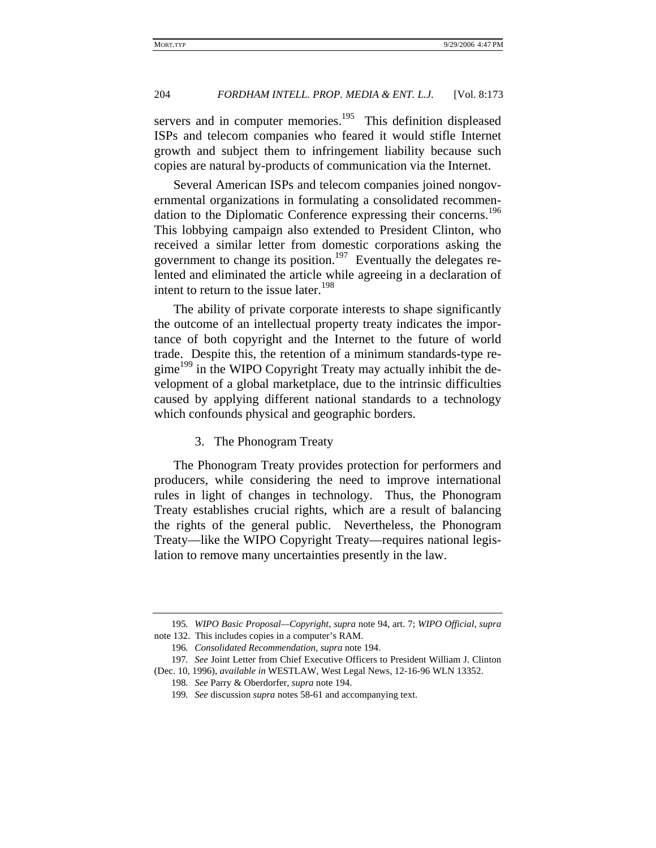servers and in computer memories.<sup>195</sup> This definition displeased ISPs and telecom companies who feared it would stifle Internet growth and subject them to infringement liability because such copies are natural by-products of communication via the Internet.

Several American ISPs and telecom companies joined nongovernmental organizations in formulating a consolidated recommendation to the Diplomatic Conference expressing their concerns.<sup>196</sup> This lobbying campaign also extended to President Clinton, who received a similar letter from domestic corporations asking the government to change its position.<sup>197</sup> Eventually the delegates relented and eliminated the article while agreeing in a declaration of intent to return to the issue later.<sup>198</sup>

The ability of private corporate interests to shape significantly the outcome of an intellectual property treaty indicates the importance of both copyright and the Internet to the future of world trade. Despite this, the retention of a minimum standards-type regime<sup>199</sup> in the WIPO Copyright Treaty may actually inhibit the development of a global marketplace, due to the intrinsic difficulties caused by applying different national standards to a technology which confounds physical and geographic borders.

#### 3. The Phonogram Treaty

The Phonogram Treaty provides protection for performers and producers, while considering the need to improve international rules in light of changes in technology. Thus, the Phonogram Treaty establishes crucial rights, which are a result of balancing the rights of the general public. Nevertheless, the Phonogram Treaty—like the WIPO Copyright Treaty—requires national legislation to remove many uncertainties presently in the law.

<sup>195</sup>*. WIPO Basic Proposal—Copyright*, *supra* note 94, art. 7; *WIPO Official, supra*  note 132. This includes copies in a computer's RAM.

<sup>196</sup>*. Consolidated Recommendation*, *supra* note 194.

<sup>197</sup>*. See* Joint Letter from Chief Executive Officers to President William J. Clinton (Dec. 10, 1996), *available in* WESTLAW, West Legal News, 12-16-96 WLN 13352.

<sup>198</sup>*. See* Parry & Oberdorfer, *supra* note 194.

<sup>199</sup>*. See* discussion *supra* notes 58-61 and accompanying text.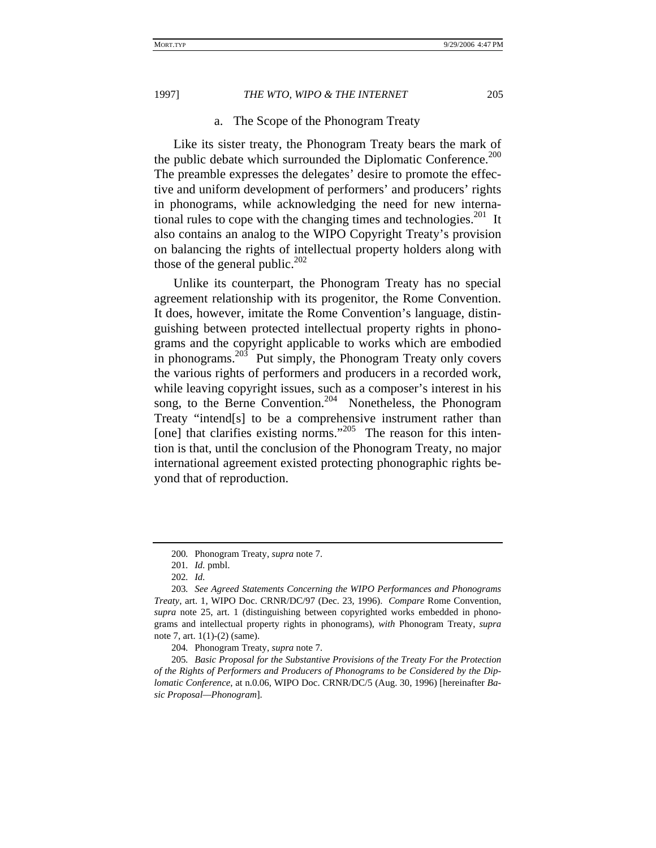#### a. The Scope of the Phonogram Treaty

Like its sister treaty, the Phonogram Treaty bears the mark of the public debate which surrounded the Diplomatic Conference.<sup>200</sup> The preamble expresses the delegates' desire to promote the effective and uniform development of performers' and producers' rights in phonograms, while acknowledging the need for new international rules to cope with the changing times and technologies.<sup>201</sup> It also contains an analog to the WIPO Copyright Treaty's provision on balancing the rights of intellectual property holders along with those of the general public.<sup>202</sup>

Unlike its counterpart, the Phonogram Treaty has no special agreement relationship with its progenitor, the Rome Convention. It does, however, imitate the Rome Convention's language, distinguishing between protected intellectual property rights in phonograms and the copyright applicable to works which are embodied in phonograms. $203$  Put simply, the Phonogram Treaty only covers the various rights of performers and producers in a recorded work, while leaving copyright issues, such as a composer's interest in his song, to the Berne Convention.<sup>204</sup> Nonetheless, the Phonogram Treaty "intend[s] to be a comprehensive instrument rather than [one] that clarifies existing norms."<sup>205</sup> The reason for this intention is that, until the conclusion of the Phonogram Treaty, no major international agreement existed protecting phonographic rights beyond that of reproduction.

<sup>200</sup>*.* Phonogram Treaty, *supra* note 7.

<sup>201</sup>*. Id.* pmbl.

<sup>202</sup>*. Id.*

<sup>203</sup>*. See Agreed Statements Concerning the WIPO Performances and Phonograms Treaty*, art. 1, WIPO Doc. CRNR/DC/97 (Dec. 23, 1996). *Compare* Rome Convention, *supra* note 25, art. 1 (distinguishing between copyrighted works embedded in phonograms and intellectual property rights in phonograms), *with* Phonogram Treaty, *supra* note 7, art. 1(1)-(2) (same).

<sup>204</sup>*.* Phonogram Treaty, *supra* note 7.

<sup>205</sup>*. Basic Proposal for the Substantive Provisions of the Treaty For the Protection of the Rights of Performers and Producers of Phonograms to be Considered by the Diplomatic Conference*, at n.0.06, WIPO Doc. CRNR/DC/5 (Aug. 30, 1996) [hereinafter *Basic Proposal—Phonogram*].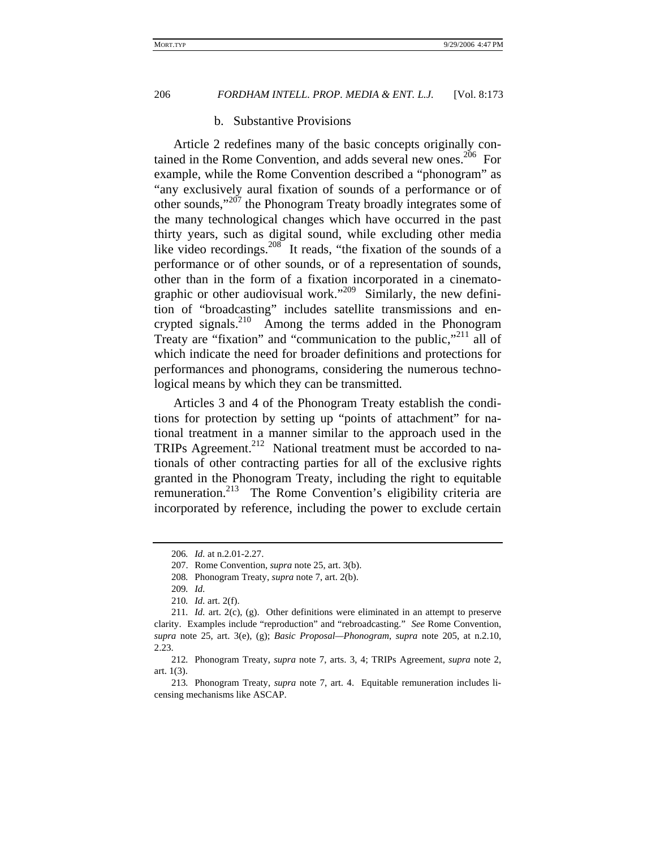#### b. Substantive Provisions

Article 2 redefines many of the basic concepts originally contained in the Rome Convention, and adds several new ones.<sup>206</sup> For example, while the Rome Convention described a "phonogram" as "any exclusively aural fixation of sounds of a performance or of other sounds,"207 the Phonogram Treaty broadly integrates some of the many technological changes which have occurred in the past thirty years, such as digital sound, while excluding other media like video recordings.<sup>208</sup> It reads, "the fixation of the sounds of a performance or of other sounds, or of a representation of sounds, other than in the form of a fixation incorporated in a cinematographic or other audiovisual work."<sup>209</sup> Similarly, the new definition of "broadcasting" includes satellite transmissions and encrypted signals.<sup>210</sup> Among the terms added in the Phonogram Treaty are "fixation" and "communication to the public,"<sup>211</sup> all of which indicate the need for broader definitions and protections for performances and phonograms, considering the numerous technological means by which they can be transmitted.

Articles 3 and 4 of the Phonogram Treaty establish the conditions for protection by setting up "points of attachment" for national treatment in a manner similar to the approach used in the TRIPs Agreement.<sup>212</sup> National treatment must be accorded to nationals of other contracting parties for all of the exclusive rights granted in the Phonogram Treaty, including the right to equitable remuneration.213 The Rome Convention's eligibility criteria are incorporated by reference, including the power to exclude certain

<sup>206</sup>*. Id.* at n.2.01-2.27.

<sup>207.</sup> Rome Convention, *supra* note 25, art. 3(b).

<sup>208</sup>*.* Phonogram Treaty, *supra* note 7, art. 2(b).

<sup>209</sup>*. Id.*

<sup>210</sup>*. Id.* art. 2(f).

<sup>211</sup>*. Id.* art. 2(c), (g). Other definitions were eliminated in an attempt to preserve clarity. Examples include "reproduction" and "rebroadcasting." *See* Rome Convention, *supra* note 25, art. 3(e), (g); *Basic Proposal—Phonogram*, *supra* note 205, at n.2.10, 2.23.

<sup>212</sup>*.* Phonogram Treaty, *supra* note 7, arts. 3, 4; TRIPs Agreement, *supra* note 2, art. 1(3).

<sup>213</sup>*.* Phonogram Treaty, *supra* note 7, art. 4. Equitable remuneration includes licensing mechanisms like ASCAP.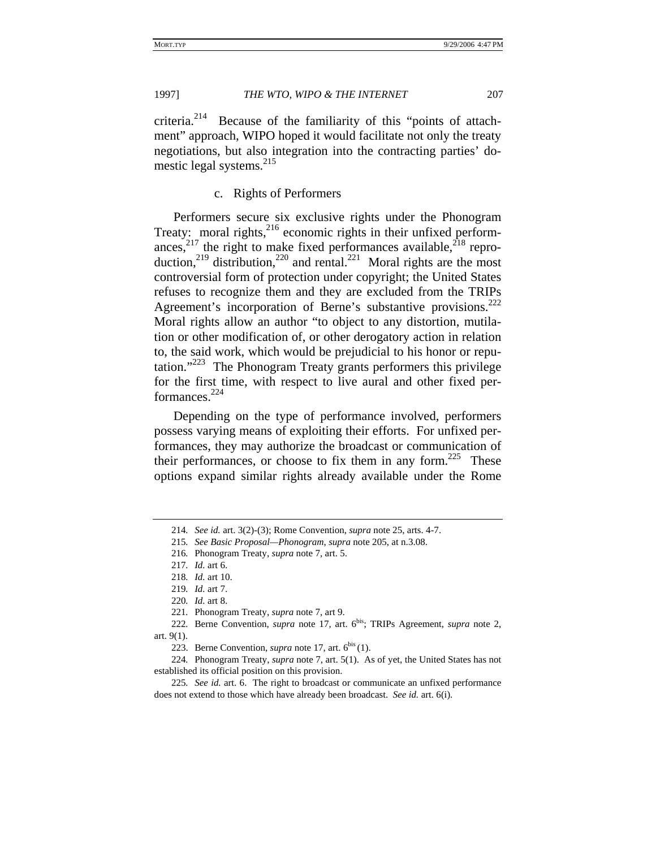criteria. $2^{14}$  Because of the familiarity of this "points of attachment" approach, WIPO hoped it would facilitate not only the treaty negotiations, but also integration into the contracting parties' domestic legal systems.<sup>215</sup>

### c. Rights of Performers

Performers secure six exclusive rights under the Phonogram Treaty: moral rights, $216$  economic rights in their unfixed performances,<sup>217</sup> the right to make fixed performances available,<sup>218</sup> reproduction,<sup>219</sup> distribution,<sup>220</sup> and rental.<sup>221</sup> Moral rights are the most controversial form of protection under copyright; the United States refuses to recognize them and they are excluded from the TRIPs Agreement's incorporation of Berne's substantive provisions.<sup>222</sup> Moral rights allow an author "to object to any distortion, mutilation or other modification of, or other derogatory action in relation to, the said work, which would be prejudicial to his honor or reputation."<sup>223</sup> The Phonogram Treaty grants performers this privilege for the first time, with respect to live aural and other fixed performances.224

Depending on the type of performance involved, performers possess varying means of exploiting their efforts. For unfixed performances, they may authorize the broadcast or communication of their performances, or choose to fix them in any form.<sup>225</sup> These options expand similar rights already available under the Rome

<sup>214</sup>*. See id.* art. 3(2)-(3); Rome Convention, *supra* note 25, arts. 4-7.

<sup>215</sup>*. See Basic Proposal—Phonogram*, *supra* note 205, at n.3.08.

<sup>216</sup>*.* Phonogram Treaty, *supra* note 7, art. 5.

<sup>217</sup>*. Id.* art 6.

<sup>218</sup>*. Id.* art 10.

<sup>219</sup>*. Id.* art 7.

<sup>220</sup>*. Id.* art 8.

<sup>221</sup>*.* Phonogram Treaty, *supra* note 7, art 9.

<sup>222</sup>*.* Berne Convention, *supra* note 17, art. 6bis; TRIPs Agreement, *supra* note 2, art. 9(1).

<sup>223.</sup> Berne Convention, *supra* note 17, art.  $6^{bis}(1)$ .

<sup>224</sup>*.* Phonogram Treaty, *supra* note 7, art. 5(1). As of yet, the United States has not established its official position on this provision.

<sup>225</sup>*. See id.* art. 6. The right to broadcast or communicate an unfixed performance does not extend to those which have already been broadcast. *See id.* art. 6(i).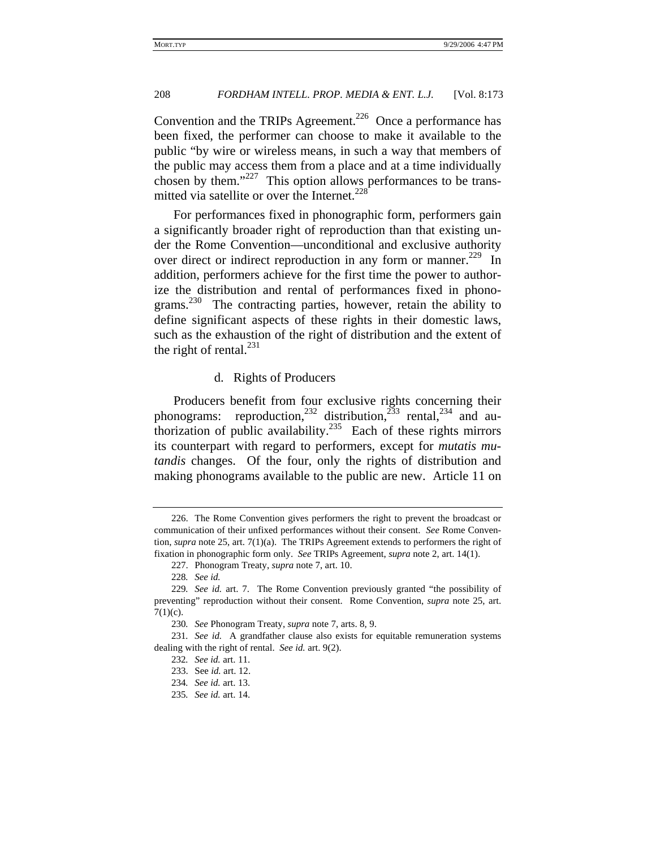Convention and the TRIPs Agreement.<sup>226</sup> Once a performance has been fixed, the performer can choose to make it available to the public "by wire or wireless means, in such a way that members of the public may access them from a place and at a time individually chosen by them."<sup>227</sup> This option allows performances to be transmitted via satellite or over the Internet. $228$ 

For performances fixed in phonographic form, performers gain a significantly broader right of reproduction than that existing under the Rome Convention—unconditional and exclusive authority over direct or indirect reproduction in any form or manner.<sup>229</sup> In addition, performers achieve for the first time the power to authorize the distribution and rental of performances fixed in phonograms.<sup>230</sup> The contracting parties, however, retain the ability to define significant aspects of these rights in their domestic laws, such as the exhaustion of the right of distribution and the extent of the right of rental. $^{231}$ 

#### d. Rights of Producers

Producers benefit from four exclusive rights concerning their phonograms: reproduction,<sup>232</sup> distribution,<sup>233</sup> rental,<sup>234</sup> and authorization of public availability.<sup>235</sup> Each of these rights mirrors its counterpart with regard to performers, except for *mutatis mutandis* changes. Of the four, only the rights of distribution and making phonograms available to the public are new. Article 11 on

<sup>226.</sup> The Rome Convention gives performers the right to prevent the broadcast or communication of their unfixed performances without their consent. *See* Rome Convention, *supra* note 25, art. 7(1)(a). The TRIPs Agreement extends to performers the right of fixation in phonographic form only. *See* TRIPs Agreement, *supra* note 2, art. 14(1).

<sup>227.</sup> Phonogram Treaty, *supra* note 7, art. 10.

<sup>228</sup>*. See id.*

<sup>229</sup>*. See id.* art. 7. The Rome Convention previously granted "the possibility of preventing" reproduction without their consent. Rome Convention, *supra* note 25, art.  $7(1)(c)$ .

<sup>230</sup>*. See* Phonogram Treaty, *supra* note 7, arts. 8, 9.

<sup>231</sup>*. See id.* A grandfather clause also exists for equitable remuneration systems dealing with the right of rental. *See id.* art. 9(2).

<sup>232</sup>*. See id.* art. 11.

<sup>233.</sup> See *id.* art. 12.

<sup>234</sup>*. See id.* art. 13.

<sup>235</sup>*. See id.* art. 14.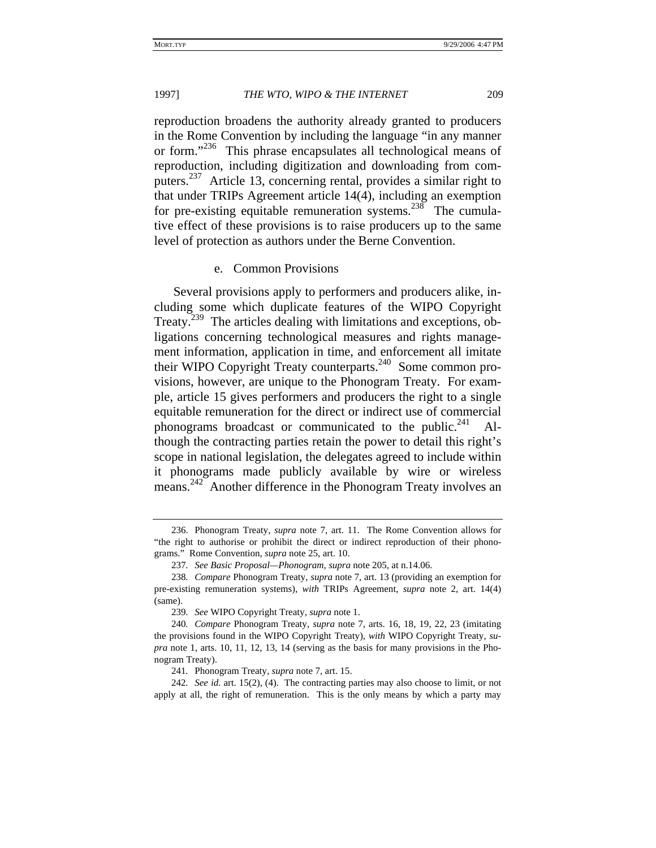reproduction broadens the authority already granted to producers in the Rome Convention by including the language "in any manner or form."236 This phrase encapsulates all technological means of reproduction, including digitization and downloading from computers.237 Article 13, concerning rental, provides a similar right to that under TRIPs Agreement article 14(4), including an exemption for pre-existing equitable remuneration systems.<sup>238</sup> The cumulative effect of these provisions is to raise producers up to the same level of protection as authors under the Berne Convention.

#### e. Common Provisions

Several provisions apply to performers and producers alike, including some which duplicate features of the WIPO Copyright Treaty.<sup>239</sup> The articles dealing with limitations and exceptions, obligations concerning technological measures and rights management information, application in time, and enforcement all imitate their WIPO Copyright Treaty counterparts. $240$  Some common provisions, however, are unique to the Phonogram Treaty. For example, article 15 gives performers and producers the right to a single equitable remuneration for the direct or indirect use of commercial phonograms broadcast or communicated to the public. $241$ though the contracting parties retain the power to detail this right's scope in national legislation, the delegates agreed to include within it phonograms made publicly available by wire or wireless means.<sup>242</sup> Another difference in the Phonogram Treaty involves an

242*. See id.* art. 15(2), (4). The contracting parties may also choose to limit, or not apply at all, the right of remuneration. This is the only means by which a party may

<sup>236.</sup> Phonogram Treaty, *supra* note 7, art. 11. The Rome Convention allows for "the right to authorise or prohibit the direct or indirect reproduction of their phonograms." Rome Convention, *supra* note 25, art. 10.

<sup>237</sup>*. See Basic Proposal—Phonogram*, *supra* note 205, at n.14.06.

<sup>238</sup>*. Compare* Phonogram Treaty, *supra* note 7, art. 13 (providing an exemption for pre-existing remuneration systems), *with* TRIPs Agreement, *supra* note 2, art. 14(4) (same).

<sup>239</sup>*. See* WIPO Copyright Treaty, *supra* note 1.

<sup>240</sup>*. Compare* Phonogram Treaty, *supra* note 7, arts. 16, 18, 19, 22, 23 (imitating the provisions found in the WIPO Copyright Treaty), *with* WIPO Copyright Treaty, *supra* note 1, arts. 10, 11, 12, 13, 14 (serving as the basis for many provisions in the Phonogram Treaty).

<sup>241</sup>*.* Phonogram Treaty, *supra* note 7, art. 15.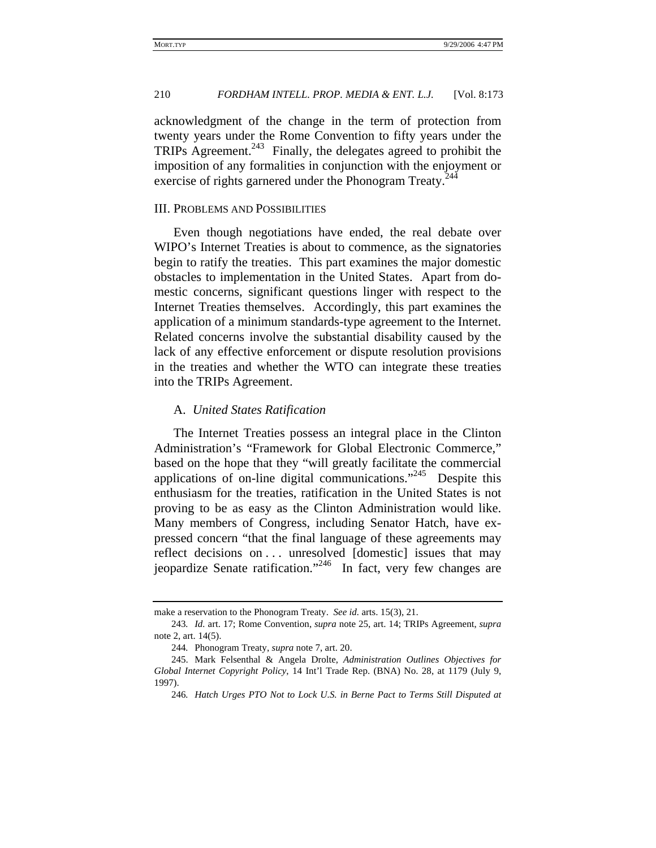acknowledgment of the change in the term of protection from twenty years under the Rome Convention to fifty years under the TRIPs Agreement.<sup>243</sup> Finally, the delegates agreed to prohibit the imposition of any formalities in conjunction with the enjoyment or exercise of rights garnered under the Phonogram Treaty.<sup>244</sup>

#### III. PROBLEMS AND POSSIBILITIES

Even though negotiations have ended, the real debate over WIPO's Internet Treaties is about to commence, as the signatories begin to ratify the treaties. This part examines the major domestic obstacles to implementation in the United States. Apart from domestic concerns, significant questions linger with respect to the Internet Treaties themselves. Accordingly, this part examines the application of a minimum standards-type agreement to the Internet. Related concerns involve the substantial disability caused by the lack of any effective enforcement or dispute resolution provisions in the treaties and whether the WTO can integrate these treaties into the TRIPs Agreement.

#### A. *United States Ratification*

The Internet Treaties possess an integral place in the Clinton Administration's "Framework for Global Electronic Commerce," based on the hope that they "will greatly facilitate the commercial applications of on-line digital communications."245 Despite this enthusiasm for the treaties, ratification in the United States is not proving to be as easy as the Clinton Administration would like. Many members of Congress, including Senator Hatch, have expressed concern "that the final language of these agreements may reflect decisions on . . . unresolved [domestic] issues that may jeopardize Senate ratification."<sup>246</sup> In fact, very few changes are

make a reservation to the Phonogram Treaty. *See id.* arts. 15(3), 21.

<sup>243</sup>*. Id.* art. 17; Rome Convention, *supra* note 25, art. 14; TRIPs Agreement, *supra* note 2, art. 14(5).

<sup>244</sup>*.* Phonogram Treaty, *supra* note 7, art. 20.

<sup>245.</sup> Mark Felsenthal & Angela Drolte, *Administration Outlines Objectives for Global Internet Copyright Policy*, 14 Int'l Trade Rep. (BNA) No. 28, at 1179 (July 9, 1997).

<sup>246</sup>*. Hatch Urges PTO Not to Lock U.S. in Berne Pact to Terms Still Disputed at*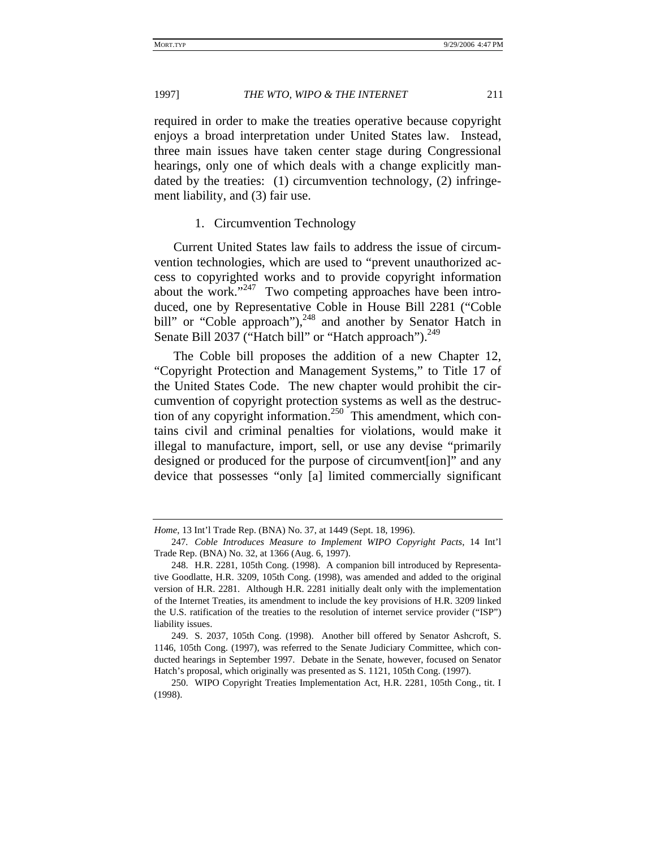required in order to make the treaties operative because copyright enjoys a broad interpretation under United States law. Instead, three main issues have taken center stage during Congressional hearings, only one of which deals with a change explicitly mandated by the treaties: (1) circumvention technology, (2) infringement liability, and (3) fair use.

#### 1. Circumvention Technology

Current United States law fails to address the issue of circumvention technologies, which are used to "prevent unauthorized access to copyrighted works and to provide copyright information about the work." $247$  Two competing approaches have been introduced, one by Representative Coble in House Bill 2281 ("Coble bill" or "Coble approach"),<sup>248</sup> and another by Senator Hatch in Senate Bill 2037 ("Hatch bill" or "Hatch approach").<sup>249</sup>

The Coble bill proposes the addition of a new Chapter 12, "Copyright Protection and Management Systems," to Title 17 of the United States Code. The new chapter would prohibit the circumvention of copyright protection systems as well as the destruction of any copyright information.<sup>250</sup> This amendment, which contains civil and criminal penalties for violations, would make it illegal to manufacture, import, sell, or use any devise "primarily designed or produced for the purpose of circumvent[ion]" and any device that possesses "only [a] limited commercially significant

*Home*, 13 Int'l Trade Rep. (BNA) No. 37, at 1449 (Sept. 18, 1996).

<sup>247</sup>*. Coble Introduces Measure to Implement WIPO Copyright Pacts*, 14 Int'l Trade Rep. (BNA) No. 32, at 1366 (Aug. 6, 1997).

<sup>248.</sup> H.R. 2281, 105th Cong. (1998). A companion bill introduced by Representative Goodlatte, H.R. 3209, 105th Cong. (1998), was amended and added to the original version of H.R. 2281. Although H.R. 2281 initially dealt only with the implementation of the Internet Treaties, its amendment to include the key provisions of H.R. 3209 linked the U.S. ratification of the treaties to the resolution of internet service provider ("ISP") liability issues.

<sup>249.</sup> S. 2037, 105th Cong. (1998). Another bill offered by Senator Ashcroft, S. 1146, 105th Cong. (1997), was referred to the Senate Judiciary Committee, which conducted hearings in September 1997. Debate in the Senate, however, focused on Senator Hatch's proposal, which originally was presented as S. 1121, 105th Cong. (1997).

<sup>250.</sup> WIPO Copyright Treaties Implementation Act, H.R. 2281, 105th Cong., tit. I (1998).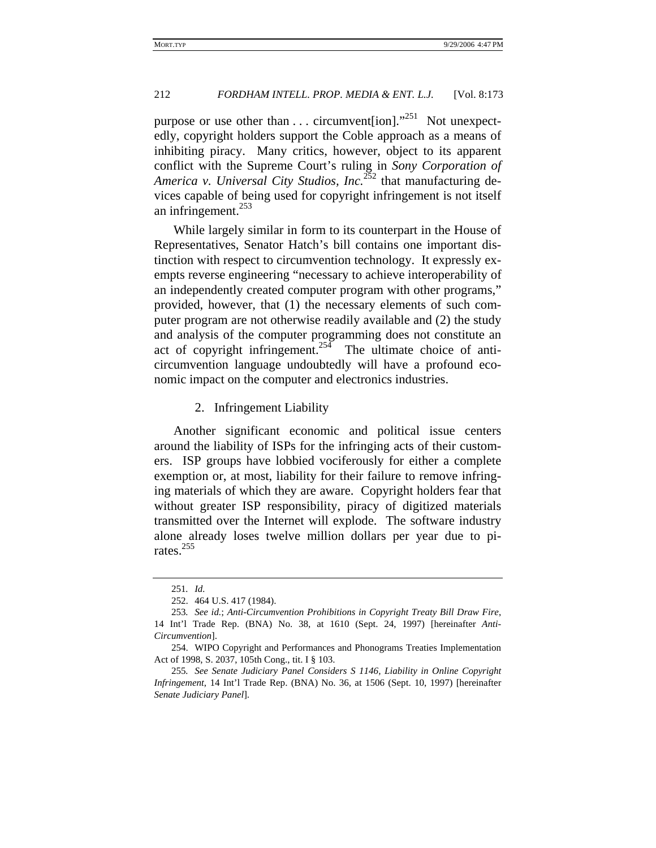purpose or use other than  $\ldots$  circumvent [ion].<sup>251</sup> Not unexpectedly, copyright holders support the Coble approach as a means of inhibiting piracy. Many critics, however, object to its apparent conflict with the Supreme Court's ruling in *Sony Corporation of America v. Universal City Studios, Inc.*252 that manufacturing devices capable of being used for copyright infringement is not itself an infringement.<sup>253</sup>

While largely similar in form to its counterpart in the House of Representatives, Senator Hatch's bill contains one important distinction with respect to circumvention technology. It expressly exempts reverse engineering "necessary to achieve interoperability of an independently created computer program with other programs," provided, however, that (1) the necessary elements of such computer program are not otherwise readily available and (2) the study and analysis of the computer programming does not constitute an act of copyright infringement.<sup>254</sup> The ultimate choice of anticircumvention language undoubtedly will have a profound economic impact on the computer and electronics industries.

2. Infringement Liability

Another significant economic and political issue centers around the liability of ISPs for the infringing acts of their customers. ISP groups have lobbied vociferously for either a complete exemption or, at most, liability for their failure to remove infringing materials of which they are aware. Copyright holders fear that without greater ISP responsibility, piracy of digitized materials transmitted over the Internet will explode. The software industry alone already loses twelve million dollars per year due to pirates.<sup>255</sup>

<sup>251</sup>*. Id.*

<sup>252. 464</sup> U.S. 417 (1984).

<sup>253</sup>*. See id.*; *Anti-Circumvention Prohibitions in Copyright Treaty Bill Draw Fire*, 14 Int'l Trade Rep. (BNA) No. 38, at 1610 (Sept. 24, 1997) [hereinafter *Anti-Circumvention*].

<sup>254.</sup> WIPO Copyright and Performances and Phonograms Treaties Implementation Act of 1998, S. 2037, 105th Cong., tit. I § 103.

<sup>255</sup>*. See Senate Judiciary Panel Considers S 1146, Liability in Online Copyright Infringement*, 14 Int'l Trade Rep. (BNA) No. 36, at 1506 (Sept. 10, 1997) [hereinafter *Senate Judiciary Panel*].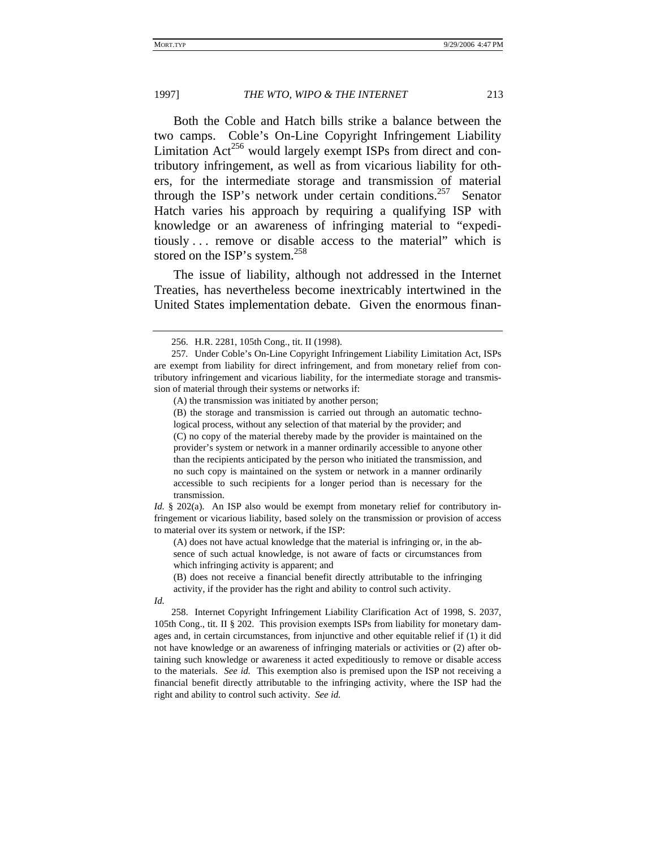Both the Coble and Hatch bills strike a balance between the two camps. Coble's On-Line Copyright Infringement Liability Limitation  $Act^{256}$  would largely exempt ISPs from direct and contributory infringement, as well as from vicarious liability for others, for the intermediate storage and transmission of material through the ISP's network under certain conditions.<sup>257</sup> Senator Hatch varies his approach by requiring a qualifying ISP with knowledge or an awareness of infringing material to "expeditiously . . . remove or disable access to the material" which is stored on the ISP's system.<sup>258</sup>

The issue of liability, although not addressed in the Internet Treaties, has nevertheless become inextricably intertwined in the United States implementation debate. Given the enormous finan-

(C) no copy of the material thereby made by the provider is maintained on the provider's system or network in a manner ordinarily accessible to anyone other than the recipients anticipated by the person who initiated the transmission, and no such copy is maintained on the system or network in a manner ordinarily accessible to such recipients for a longer period than is necessary for the transmission.

*Id.* § 202(a). An ISP also would be exempt from monetary relief for contributory infringement or vicarious liability, based solely on the transmission or provision of access to material over its system or network, if the ISP:

(A) does not have actual knowledge that the material is infringing or, in the absence of such actual knowledge, is not aware of facts or circumstances from which infringing activity is apparent; and

(B) does not receive a financial benefit directly attributable to the infringing activity, if the provider has the right and ability to control such activity.

*Id.*

258. Internet Copyright Infringement Liability Clarification Act of 1998, S. 2037, 105th Cong., tit. II § 202. This provision exempts ISPs from liability for monetary damages and, in certain circumstances, from injunctive and other equitable relief if (1) it did not have knowledge or an awareness of infringing materials or activities or (2) after obtaining such knowledge or awareness it acted expeditiously to remove or disable access to the materials. *See id.* This exemption also is premised upon the ISP not receiving a financial benefit directly attributable to the infringing activity, where the ISP had the right and ability to control such activity. *See id.*

<sup>256.</sup> H.R. 2281, 105th Cong., tit. II (1998).

<sup>257</sup>*.* Under Coble's On-Line Copyright Infringement Liability Limitation Act, ISPs are exempt from liability for direct infringement, and from monetary relief from contributory infringement and vicarious liability, for the intermediate storage and transmission of material through their systems or networks if:

<sup>(</sup>A) the transmission was initiated by another person;

<sup>(</sup>B) the storage and transmission is carried out through an automatic technological process, without any selection of that material by the provider; and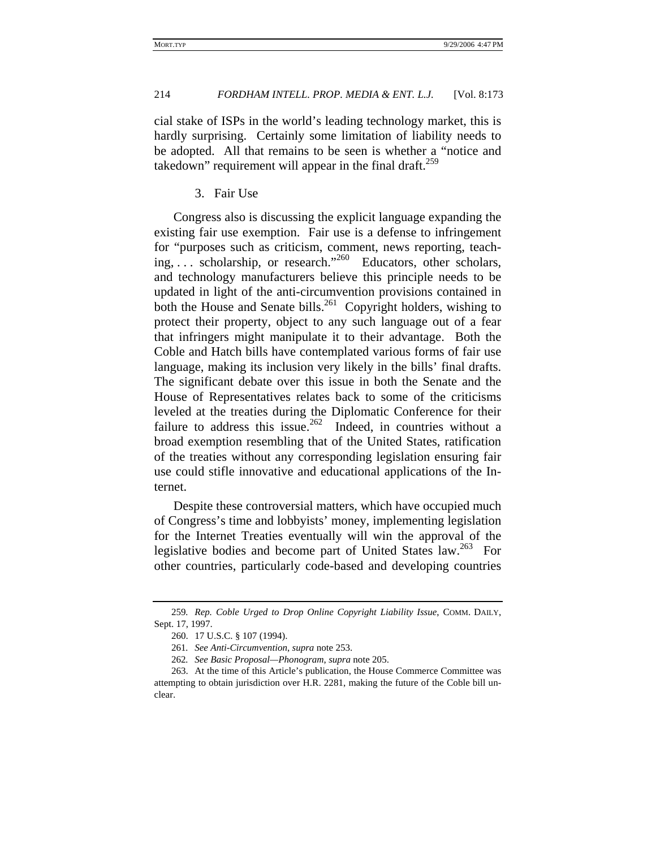cial stake of ISPs in the world's leading technology market, this is hardly surprising. Certainly some limitation of liability needs to be adopted. All that remains to be seen is whether a "notice and takedown" requirement will appear in the final draft.<sup>259</sup>

3. Fair Use

Congress also is discussing the explicit language expanding the existing fair use exemption. Fair use is a defense to infringement for "purposes such as criticism, comment, news reporting, teaching, . . . scholarship, or research."260 Educators, other scholars, and technology manufacturers believe this principle needs to be updated in light of the anti-circumvention provisions contained in both the House and Senate bills.<sup>261</sup> Copyright holders, wishing to protect their property, object to any such language out of a fear that infringers might manipulate it to their advantage. Both the Coble and Hatch bills have contemplated various forms of fair use language, making its inclusion very likely in the bills' final drafts. The significant debate over this issue in both the Senate and the House of Representatives relates back to some of the criticisms leveled at the treaties during the Diplomatic Conference for their failure to address this issue.<sup>262</sup> Indeed, in countries without a broad exemption resembling that of the United States, ratification of the treaties without any corresponding legislation ensuring fair use could stifle innovative and educational applications of the Internet.

Despite these controversial matters, which have occupied much of Congress's time and lobbyists' money, implementing legislation for the Internet Treaties eventually will win the approval of the legislative bodies and become part of United States law.<sup>263</sup> For other countries, particularly code-based and developing countries

<sup>259</sup>*. Rep. Coble Urged to Drop Online Copyright Liability Issue*, COMM. DAILY, Sept. 17, 1997.

<sup>260. 17</sup> U.S.C. § 107 (1994).

<sup>261</sup>*. See Anti-Circumvention*, *supra* note 253.

<sup>262</sup>*. See Basic Proposal—Phonogram*, *supra* note 205.

<sup>263.</sup> At the time of this Article's publication, the House Commerce Committee was attempting to obtain jurisdiction over H.R. 2281, making the future of the Coble bill unclear.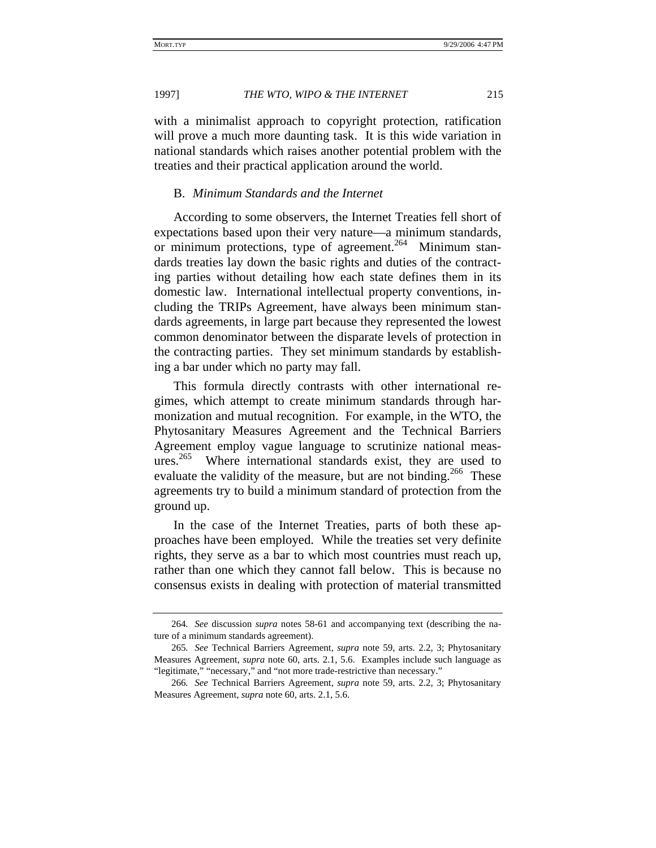with a minimalist approach to copyright protection, ratification will prove a much more daunting task. It is this wide variation in national standards which raises another potential problem with the treaties and their practical application around the world.

#### B. *Minimum Standards and the Internet*

According to some observers, the Internet Treaties fell short of expectations based upon their very nature—a minimum standards, or minimum protections, type of agreement.<sup>264</sup> Minimum standards treaties lay down the basic rights and duties of the contracting parties without detailing how each state defines them in its domestic law. International intellectual property conventions, including the TRIPs Agreement, have always been minimum standards agreements, in large part because they represented the lowest common denominator between the disparate levels of protection in the contracting parties. They set minimum standards by establishing a bar under which no party may fall.

This formula directly contrasts with other international regimes, which attempt to create minimum standards through harmonization and mutual recognition. For example, in the WTO, the Phytosanitary Measures Agreement and the Technical Barriers Agreement employ vague language to scrutinize national measures.<sup>265</sup> Where international standards exist, they are used to evaluate the validity of the measure, but are not binding.<sup>266</sup> These agreements try to build a minimum standard of protection from the ground up.

In the case of the Internet Treaties, parts of both these approaches have been employed. While the treaties set very definite rights, they serve as a bar to which most countries must reach up, rather than one which they cannot fall below. This is because no consensus exists in dealing with protection of material transmitted

<sup>264</sup>*. See* discussion *supra* notes 58-61 and accompanying text (describing the nature of a minimum standards agreement).

<sup>265</sup>*. See* Technical Barriers Agreement, *supra* note 59, arts. 2.2, 3; Phytosanitary Measures Agreement, *supra* note 60, arts. 2.1, 5.6. Examples include such language as "legitimate," "necessary," and "not more trade-restrictive than necessary."

<sup>266</sup>*. See* Technical Barriers Agreement, *supra* note 59, arts. 2.2, 3; Phytosanitary Measures Agreement, *supra* note 60, arts. 2.1, 5.6.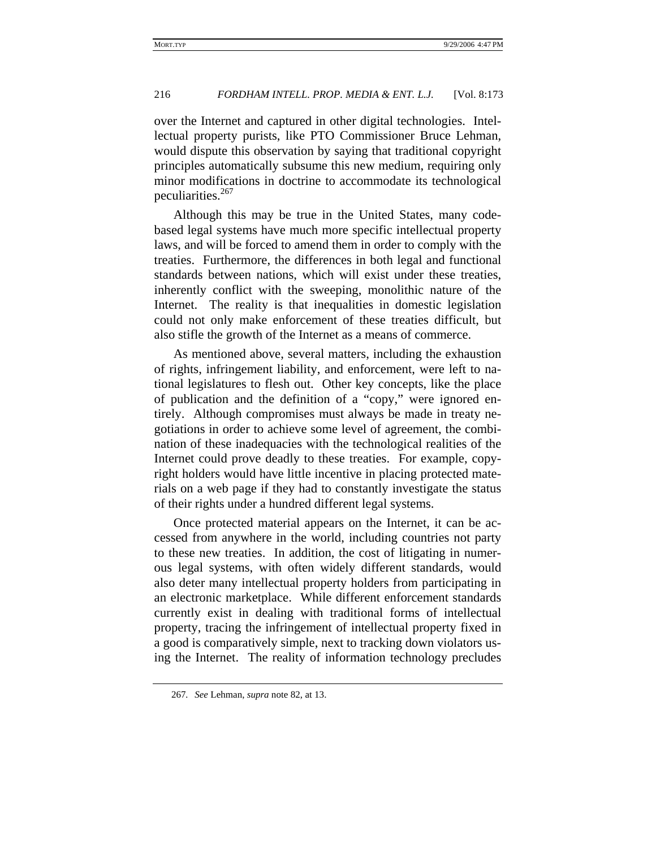over the Internet and captured in other digital technologies. Intellectual property purists, like PTO Commissioner Bruce Lehman, would dispute this observation by saying that traditional copyright principles automatically subsume this new medium, requiring only minor modifications in doctrine to accommodate its technological peculiarities.<sup>267</sup>

Although this may be true in the United States, many codebased legal systems have much more specific intellectual property laws, and will be forced to amend them in order to comply with the treaties. Furthermore, the differences in both legal and functional standards between nations, which will exist under these treaties, inherently conflict with the sweeping, monolithic nature of the Internet. The reality is that inequalities in domestic legislation could not only make enforcement of these treaties difficult, but also stifle the growth of the Internet as a means of commerce.

As mentioned above, several matters, including the exhaustion of rights, infringement liability, and enforcement, were left to national legislatures to flesh out. Other key concepts, like the place of publication and the definition of a "copy," were ignored entirely. Although compromises must always be made in treaty negotiations in order to achieve some level of agreement, the combination of these inadequacies with the technological realities of the Internet could prove deadly to these treaties. For example, copyright holders would have little incentive in placing protected materials on a web page if they had to constantly investigate the status of their rights under a hundred different legal systems.

Once protected material appears on the Internet, it can be accessed from anywhere in the world, including countries not party to these new treaties. In addition, the cost of litigating in numerous legal systems, with often widely different standards, would also deter many intellectual property holders from participating in an electronic marketplace. While different enforcement standards currently exist in dealing with traditional forms of intellectual property, tracing the infringement of intellectual property fixed in a good is comparatively simple, next to tracking down violators using the Internet. The reality of information technology precludes

<sup>267</sup>*. See* Lehman, *supra* note 82, at 13.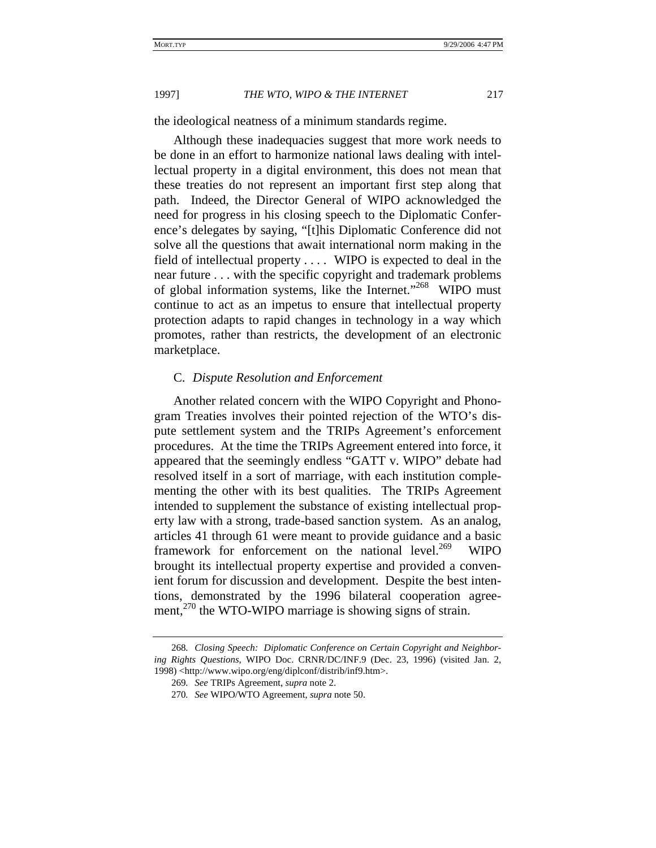the ideological neatness of a minimum standards regime.

Although these inadequacies suggest that more work needs to be done in an effort to harmonize national laws dealing with intellectual property in a digital environment, this does not mean that these treaties do not represent an important first step along that path. Indeed, the Director General of WIPO acknowledged the need for progress in his closing speech to the Diplomatic Conference's delegates by saying, "[t]his Diplomatic Conference did not solve all the questions that await international norm making in the field of intellectual property . . . . WIPO is expected to deal in the near future . . . with the specific copyright and trademark problems of global information systems, like the Internet."<sup>268</sup> WIPO must continue to act as an impetus to ensure that intellectual property protection adapts to rapid changes in technology in a way which promotes, rather than restricts, the development of an electronic marketplace.

#### C. *Dispute Resolution and Enforcement*

Another related concern with the WIPO Copyright and Phonogram Treaties involves their pointed rejection of the WTO's dispute settlement system and the TRIPs Agreement's enforcement procedures. At the time the TRIPs Agreement entered into force, it appeared that the seemingly endless "GATT v. WIPO" debate had resolved itself in a sort of marriage, with each institution complementing the other with its best qualities. The TRIPs Agreement intended to supplement the substance of existing intellectual property law with a strong, trade-based sanction system. As an analog, articles 41 through 61 were meant to provide guidance and a basic framework for enforcement on the national level. $^{269}$  WIPO brought its intellectual property expertise and provided a convenient forum for discussion and development. Despite the best intentions, demonstrated by the 1996 bilateral cooperation agreement,<sup>270</sup> the WTO-WIPO marriage is showing signs of strain.

<sup>268</sup>*. Closing Speech: Diplomatic Conference on Certain Copyright and Neighboring Rights Questions*, WIPO Doc. CRNR/DC/INF.9 (Dec. 23, 1996) (visited Jan. 2, 1998) <http://www.wipo.org/eng/diplconf/distrib/inf9.htm>.

<sup>269</sup>*. See* TRIPs Agreement, *supra* note 2.

<sup>270</sup>*. See* WIPO/WTO Agreement, *supra* note 50.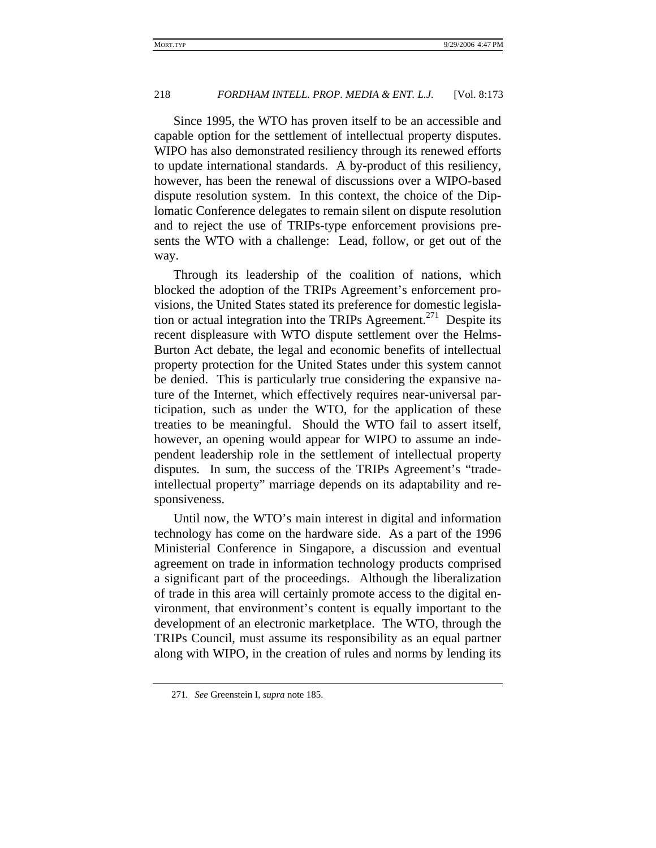Since 1995, the WTO has proven itself to be an accessible and capable option for the settlement of intellectual property disputes. WIPO has also demonstrated resiliency through its renewed efforts to update international standards. A by-product of this resiliency, however, has been the renewal of discussions over a WIPO-based dispute resolution system. In this context, the choice of the Diplomatic Conference delegates to remain silent on dispute resolution and to reject the use of TRIPs-type enforcement provisions presents the WTO with a challenge: Lead, follow, or get out of the way.

Through its leadership of the coalition of nations, which blocked the adoption of the TRIPs Agreement's enforcement provisions, the United States stated its preference for domestic legislation or actual integration into the TRIPs Agreement.<sup>271</sup> Despite its recent displeasure with WTO dispute settlement over the Helms-Burton Act debate, the legal and economic benefits of intellectual property protection for the United States under this system cannot be denied. This is particularly true considering the expansive nature of the Internet, which effectively requires near-universal participation, such as under the WTO, for the application of these treaties to be meaningful. Should the WTO fail to assert itself, however, an opening would appear for WIPO to assume an independent leadership role in the settlement of intellectual property disputes. In sum, the success of the TRIPs Agreement's "tradeintellectual property" marriage depends on its adaptability and responsiveness.

Until now, the WTO's main interest in digital and information technology has come on the hardware side. As a part of the 1996 Ministerial Conference in Singapore, a discussion and eventual agreement on trade in information technology products comprised a significant part of the proceedings. Although the liberalization of trade in this area will certainly promote access to the digital environment, that environment's content is equally important to the development of an electronic marketplace. The WTO, through the TRIPs Council, must assume its responsibility as an equal partner along with WIPO, in the creation of rules and norms by lending its

<sup>271</sup>*. See* Greenstein I, *supra* note 185.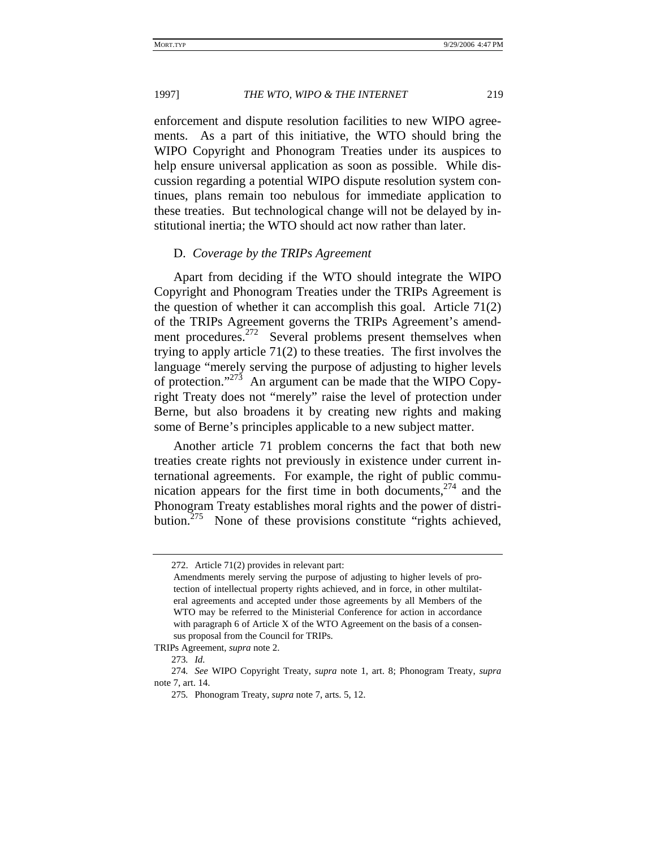enforcement and dispute resolution facilities to new WIPO agreements. As a part of this initiative, the WTO should bring the WIPO Copyright and Phonogram Treaties under its auspices to help ensure universal application as soon as possible. While discussion regarding a potential WIPO dispute resolution system continues, plans remain too nebulous for immediate application to these treaties. But technological change will not be delayed by institutional inertia; the WTO should act now rather than later.

#### D. *Coverage by the TRIPs Agreement*

Apart from deciding if the WTO should integrate the WIPO Copyright and Phonogram Treaties under the TRIPs Agreement is the question of whether it can accomplish this goal. Article 71(2) of the TRIPs Agreement governs the TRIPs Agreement's amendment procedures.<sup>272</sup> Several problems present themselves when trying to apply article 71(2) to these treaties. The first involves the language "merely serving the purpose of adjusting to higher levels of protection." $273$  An argument can be made that the WIPO Copyright Treaty does not "merely" raise the level of protection under Berne, but also broadens it by creating new rights and making some of Berne's principles applicable to a new subject matter.

Another article 71 problem concerns the fact that both new treaties create rights not previously in existence under current international agreements. For example, the right of public communication appears for the first time in both documents,  $274$  and the Phonogram Treaty establishes moral rights and the power of distribution.<sup>275</sup> None of these provisions constitute "rights achieved,

<sup>272.</sup> Article 71(2) provides in relevant part:

Amendments merely serving the purpose of adjusting to higher levels of protection of intellectual property rights achieved, and in force, in other multilateral agreements and accepted under those agreements by all Members of the WTO may be referred to the Ministerial Conference for action in accordance with paragraph 6 of Article X of the WTO Agreement on the basis of a consensus proposal from the Council for TRIPs.

TRIPs Agreement, *supra* note 2.

<sup>273</sup>*. Id.*

<sup>274</sup>*. See* WIPO Copyright Treaty, *supra* note 1, art. 8; Phonogram Treaty, *supra* note 7, art. 14.

<sup>275</sup>*.* Phonogram Treaty, *supra* note 7, arts. 5, 12.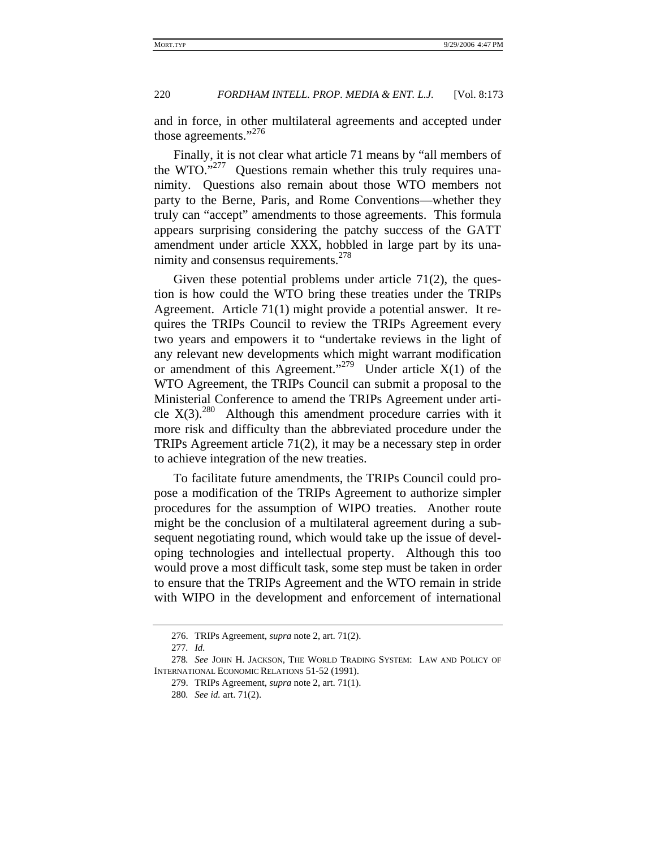and in force, in other multilateral agreements and accepted under those agreements."<sup>276</sup>

Finally, it is not clear what article 71 means by "all members of the WTO."<sup>277</sup> Questions remain whether this truly requires unanimity. Questions also remain about those WTO members not party to the Berne, Paris, and Rome Conventions—whether they truly can "accept" amendments to those agreements. This formula appears surprising considering the patchy success of the GATT amendment under article XXX, hobbled in large part by its unanimity and consensus requirements.<sup>278</sup>

Given these potential problems under article 71(2), the question is how could the WTO bring these treaties under the TRIPs Agreement. Article 71(1) might provide a potential answer. It requires the TRIPs Council to review the TRIPs Agreement every two years and empowers it to "undertake reviews in the light of any relevant new developments which might warrant modification or amendment of this Agreement."<sup>279</sup> Under article  $X(1)$  of the WTO Agreement, the TRIPs Council can submit a proposal to the Ministerial Conference to amend the TRIPs Agreement under article  $X(3).^{280}$  Although this amendment procedure carries with it more risk and difficulty than the abbreviated procedure under the TRIPs Agreement article 71(2), it may be a necessary step in order to achieve integration of the new treaties.

To facilitate future amendments, the TRIPs Council could propose a modification of the TRIPs Agreement to authorize simpler procedures for the assumption of WIPO treaties. Another route might be the conclusion of a multilateral agreement during a subsequent negotiating round, which would take up the issue of developing technologies and intellectual property. Although this too would prove a most difficult task, some step must be taken in order to ensure that the TRIPs Agreement and the WTO remain in stride with WIPO in the development and enforcement of international

<sup>276.</sup> TRIPs Agreement, *supra* note 2, art. 71(2).

<sup>277</sup>*. Id.*

<sup>278</sup>*. See* JOHN H. JACKSON, THE WORLD TRADING SYSTEM: LAW AND POLICY OF INTERNATIONAL ECONOMIC RELATIONS 51-52 (1991).

<sup>279.</sup> TRIPs Agreement, *supra* note 2, art. 71(1).

<sup>280</sup>*. See id.* art. 71(2).